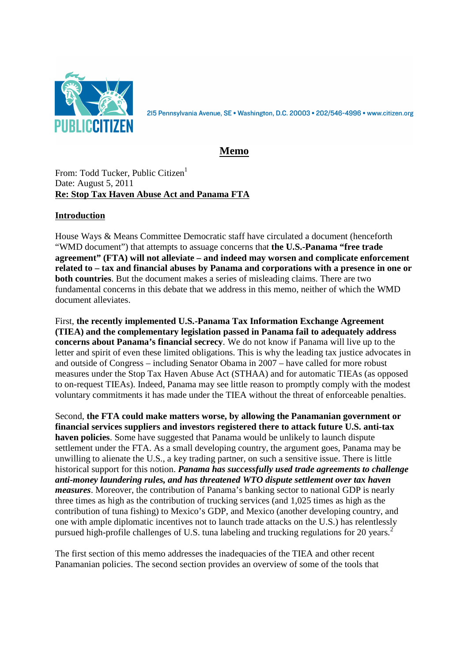

2I5 Pennsylvania Avenue, SE · Washington, D.C. 20003 · 202/546-4996 · www.citizen.org

# **Memo**

From: Todd Tucker, Public Citizen<sup>1</sup> Date: August 5, 2011 **Re: Stop Tax Haven Abuse Act and Panama FTA** 

## **Introduction**

House Ways & Means Committee Democratic staff have circulated a document (henceforth "WMD document") that attempts to assuage concerns that **the U.S.-Panama "free trade agreement" (FTA) will not alleviate – and indeed may worsen and complicate enforcement related to – tax and financial abuses by Panama and corporations with a presence in one or both countries**. But the document makes a series of misleading claims. There are two fundamental concerns in this debate that we address in this memo, neither of which the WMD document alleviates.

First, **the recently implemented U.S.-Panama Tax Information Exchange Agreement (TIEA) and the complementary legislation passed in Panama fail to adequately address concerns about Panama's financial secrecy**. We do not know if Panama will live up to the letter and spirit of even these limited obligations. This is why the leading tax justice advocates in and outside of Congress – including Senator Obama in 2007 – have called for more robust measures under the Stop Tax Haven Abuse Act (STHAA) and for automatic TIEAs (as opposed to on-request TIEAs). Indeed, Panama may see little reason to promptly comply with the modest voluntary commitments it has made under the TIEA without the threat of enforceable penalties.

Second, **the FTA could make matters worse, by allowing the Panamanian government or financial services suppliers and investors registered there to attack future U.S. anti-tax haven policies**. Some have suggested that Panama would be unlikely to launch dispute settlement under the FTA. As a small developing country, the argument goes, Panama may be unwilling to alienate the U.S., a key trading partner, on such a sensitive issue. There is little historical support for this notion. *Panama has successfully used trade agreements to challenge anti-money laundering rules, and has threatened WTO dispute settlement over tax haven measures*. Moreover, the contribution of Panama's banking sector to national GDP is nearly three times as high as the contribution of trucking services (and 1,025 times as high as the contribution of tuna fishing) to Mexico's GDP, and Mexico (another developing country, and one with ample diplomatic incentives not to launch trade attacks on the U.S.) has relentlessly pursued high-profile challenges of U.S. tuna labeling and trucking regulations for 20 years.<sup>2</sup>

The first section of this memo addresses the inadequacies of the TIEA and other recent Panamanian policies. The second section provides an overview of some of the tools that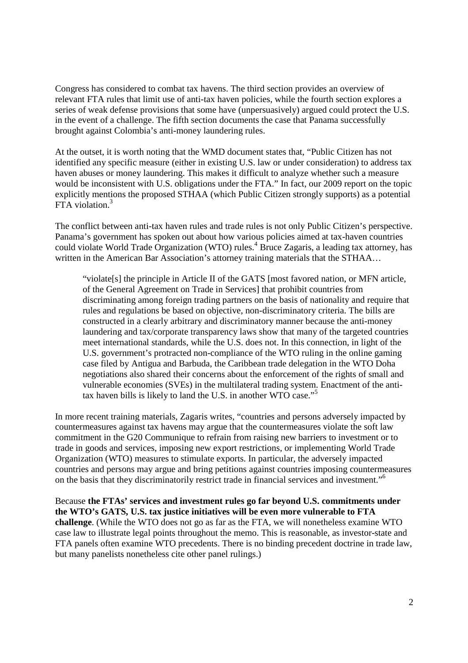Congress has considered to combat tax havens. The third section provides an overview of relevant FTA rules that limit use of anti-tax haven policies, while the fourth section explores a series of weak defense provisions that some have (unpersuasively) argued could protect the U.S. in the event of a challenge. The fifth section documents the case that Panama successfully brought against Colombia's anti-money laundering rules.

At the outset, it is worth noting that the WMD document states that, "Public Citizen has not identified any specific measure (either in existing U.S. law or under consideration) to address tax haven abuses or money laundering. This makes it difficult to analyze whether such a measure would be inconsistent with U.S. obligations under the FTA." In fact, our 2009 report on the topic explicitly mentions the proposed STHAA (which Public Citizen strongly supports) as a potential FTA violation.<sup>3</sup>

The conflict between anti-tax haven rules and trade rules is not only Public Citizen's perspective. Panama's government has spoken out about how various policies aimed at tax-haven countries could violate World Trade Organization (WTO) rules.<sup>4</sup> Bruce Zagaris, a leading tax attorney, has written in the American Bar Association's attorney training materials that the STHAA...

"violate[s] the principle in Article II of the GATS [most favored nation, or MFN article, of the General Agreement on Trade in Services] that prohibit countries from discriminating among foreign trading partners on the basis of nationality and require that rules and regulations be based on objective, non-discriminatory criteria. The bills are constructed in a clearly arbitrary and discriminatory manner because the anti-money laundering and tax/corporate transparency laws show that many of the targeted countries meet international standards, while the U.S. does not. In this connection, in light of the U.S. government's protracted non-compliance of the WTO ruling in the online gaming case filed by Antigua and Barbuda, the Caribbean trade delegation in the WTO Doha negotiations also shared their concerns about the enforcement of the rights of small and vulnerable economies (SVEs) in the multilateral trading system. Enactment of the antitax haven bills is likely to land the U.S. in another WTO case."<sup>5</sup>

In more recent training materials, Zagaris writes, "countries and persons adversely impacted by countermeasures against tax havens may argue that the countermeasures violate the soft law commitment in the G20 Communique to refrain from raising new barriers to investment or to trade in goods and services, imposing new export restrictions, or implementing World Trade Organization (WTO) measures to stimulate exports. In particular, the adversely impacted countries and persons may argue and bring petitions against countries imposing countermeasures on the basis that they discriminatorily restrict trade in financial services and investment."<sup>6</sup>

Because **the FTAs' services and investment rules go far beyond U.S. commitments under the WTO's GATS, U.S. tax justice initiatives will be even more vulnerable to FTA challenge**. (While the WTO does not go as far as the FTA, we will nonetheless examine WTO case law to illustrate legal points throughout the memo. This is reasonable, as investor-state and FTA panels often examine WTO precedents. There is no binding precedent doctrine in trade law, but many panelists nonetheless cite other panel rulings.)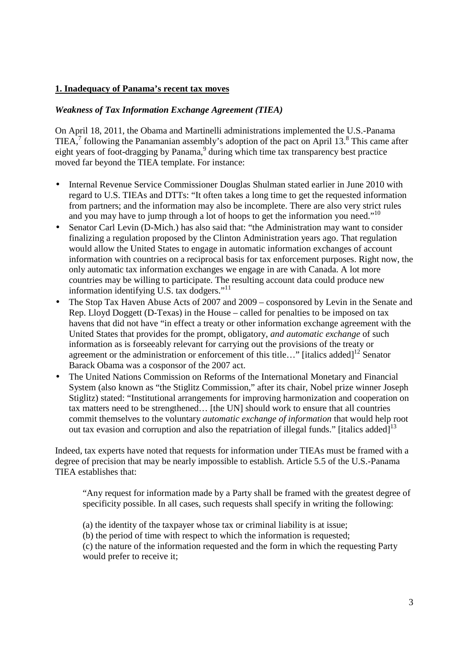## **1. Inadequacy of Panama's recent tax moves**

## *Weakness of Tax Information Exchange Agreement (TIEA)*

On April 18, 2011, the Obama and Martinelli administrations implemented the U.S.-Panama TIEA, $^7$  following the Panamanian assembly's adoption of the pact on April 13. $^8$  This came after eight years of foot-dragging by Panama,<sup>9</sup> during which time tax transparency best practice moved far beyond the TIEA template. For instance:

- Internal Revenue Service Commissioner Douglas Shulman stated earlier in June 2010 with regard to U.S. TIEAs and DTTs: "It often takes a long time to get the requested information from partners; and the information may also be incomplete. There are also very strict rules and you may have to jump through a lot of hoops to get the information you need." $10$
- Senator Carl Levin (D-Mich.) has also said that: "the Administration may want to consider finalizing a regulation proposed by the Clinton Administration years ago. That regulation would allow the United States to engage in automatic information exchanges of account information with countries on a reciprocal basis for tax enforcement purposes. Right now, the only automatic tax information exchanges we engage in are with Canada. A lot more countries may be willing to participate. The resulting account data could produce new information identifying U.S. tax dodgers."<sup>11</sup>
- The Stop Tax Haven Abuse Acts of 2007 and 2009 cosponsored by Levin in the Senate and Rep. Lloyd Doggett (D-Texas) in the House – called for penalties to be imposed on tax havens that did not have "in effect a treaty or other information exchange agreement with the United States that provides for the prompt, obligatory, *and automatic exchange* of such information as is forseeably relevant for carrying out the provisions of the treaty or agreement or the administration or enforcement of this title..." [italics added]<sup>12</sup> Senator Barack Obama was a cosponsor of the 2007 act.
- The United Nations Commission on Reforms of the International Monetary and Financial System (also known as "the Stiglitz Commission," after its chair, Nobel prize winner Joseph Stiglitz) stated: "Institutional arrangements for improving harmonization and cooperation on tax matters need to be strengthened… [the UN] should work to ensure that all countries commit themselves to the voluntary *automatic exchange of information* that would help root out tax evasion and corruption and also the repatriation of illegal funds." [italics added]<sup>13</sup>

Indeed, tax experts have noted that requests for information under TIEAs must be framed with a degree of precision that may be nearly impossible to establish. Article 5.5 of the U.S.-Panama TIEA establishes that:

"Any request for information made by a Party shall be framed with the greatest degree of specificity possible. In all cases, such requests shall specify in writing the following:

- (a) the identity of the taxpayer whose tax or criminal liability is at issue;
- (b) the period of time with respect to which the information is requested;

(c) the nature of the information requested and the form in which the requesting Party would prefer to receive it;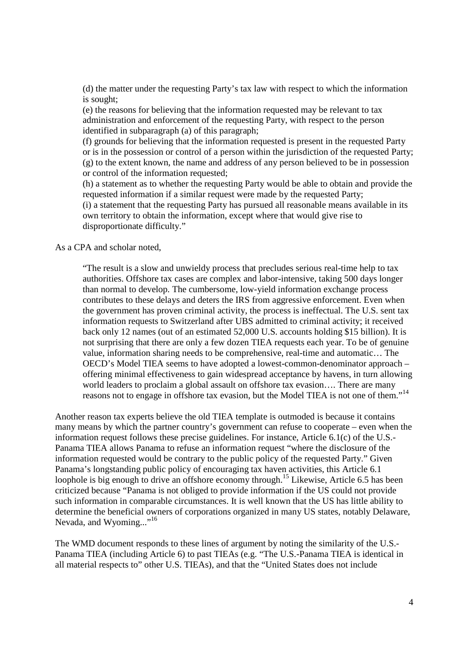(d) the matter under the requesting Party's tax law with respect to which the information is sought;

(e) the reasons for believing that the information requested may be relevant to tax administration and enforcement of the requesting Party, with respect to the person identified in subparagraph (a) of this paragraph;

(f) grounds for believing that the information requested is present in the requested Party or is in the possession or control of a person within the jurisdiction of the requested Party; (g) to the extent known, the name and address of any person believed to be in possession or control of the information requested;

(h) a statement as to whether the requesting Party would be able to obtain and provide the requested information if a similar request were made by the requested Party; (i) a statement that the requesting Party has pursued all reasonable means available in its

own territory to obtain the information, except where that would give rise to disproportionate difficulty."

As a CPA and scholar noted,

"The result is a slow and unwieldy process that precludes serious real-time help to tax authorities. Offshore tax cases are complex and labor-intensive, taking 500 days longer than normal to develop. The cumbersome, low-yield information exchange process contributes to these delays and deters the IRS from aggressive enforcement. Even when the government has proven criminal activity, the process is ineffectual. The U.S. sent tax information requests to Switzerland after UBS admitted to criminal activity; it received back only 12 names (out of an estimated 52,000 U.S. accounts holding \$15 billion). It is not surprising that there are only a few dozen TIEA requests each year. To be of genuine value, information sharing needs to be comprehensive, real-time and automatic… The OECD's Model TIEA seems to have adopted a lowest-common-denominator approach – offering minimal effectiveness to gain widespread acceptance by havens, in turn allowing world leaders to proclaim a global assault on offshore tax evasion.... There are many reasons not to engage in offshore tax evasion, but the Model TIEA is not one of them."<sup>14</sup>

Another reason tax experts believe the old TIEA template is outmoded is because it contains many means by which the partner country's government can refuse to cooperate – even when the information request follows these precise guidelines. For instance, Article 6.1(c) of the U.S.- Panama TIEA allows Panama to refuse an information request "where the disclosure of the information requested would be contrary to the public policy of the requested Party." Given Panama's longstanding public policy of encouraging tax haven activities, this Article 6.1 loophole is big enough to drive an offshore economy through.<sup>15</sup> Likewise, Article 6.5 has been criticized because "Panama is not obliged to provide information if the US could not provide such information in comparable circumstances. It is well known that the US has little ability to determine the beneficial owners of corporations organized in many US states, notably Delaware, Nevada, and Wyoming..."<sup>16</sup>

The WMD document responds to these lines of argument by noting the similarity of the U.S.- Panama TIEA (including Article 6) to past TIEAs (e.g. "The U.S.-Panama TIEA is identical in all material respects to" other U.S. TIEAs), and that the "United States does not include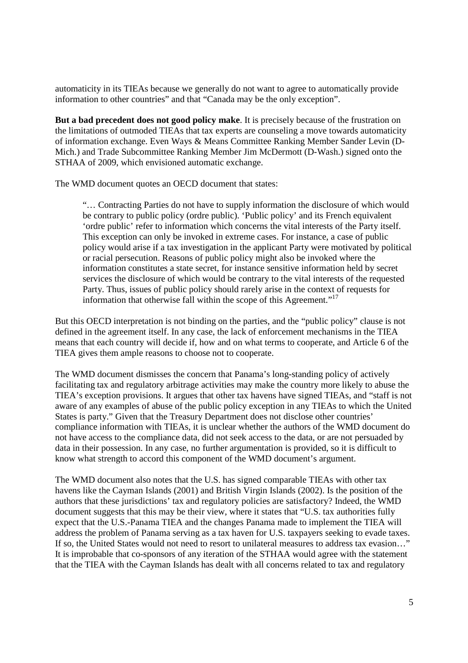automaticity in its TIEAs because we generally do not want to agree to automatically provide information to other countries" and that "Canada may be the only exception".

**But a bad precedent does not good policy make**. It is precisely because of the frustration on the limitations of outmoded TIEAs that tax experts are counseling a move towards automaticity of information exchange. Even Ways & Means Committee Ranking Member Sander Levin (D-Mich.) and Trade Subcommittee Ranking Member Jim McDermott (D-Wash.) signed onto the STHAA of 2009, which envisioned automatic exchange.

The WMD document quotes an OECD document that states:

"… Contracting Parties do not have to supply information the disclosure of which would be contrary to public policy (ordre public). 'Public policy' and its French equivalent 'ordre public' refer to information which concerns the vital interests of the Party itself. This exception can only be invoked in extreme cases. For instance, a case of public policy would arise if a tax investigation in the applicant Party were motivated by political or racial persecution. Reasons of public policy might also be invoked where the information constitutes a state secret, for instance sensitive information held by secret services the disclosure of which would be contrary to the vital interests of the requested Party. Thus, issues of public policy should rarely arise in the context of requests for information that otherwise fall within the scope of this Agreement."<sup>17</sup>

But this OECD interpretation is not binding on the parties, and the "public policy" clause is not defined in the agreement itself. In any case, the lack of enforcement mechanisms in the TIEA means that each country will decide if, how and on what terms to cooperate, and Article 6 of the TIEA gives them ample reasons to choose not to cooperate.

The WMD document dismisses the concern that Panama's long-standing policy of actively facilitating tax and regulatory arbitrage activities may make the country more likely to abuse the TIEA's exception provisions. It argues that other tax havens have signed TIEAs, and "staff is not aware of any examples of abuse of the public policy exception in any TIEAs to which the United States is party." Given that the Treasury Department does not disclose other countries' compliance information with TIEAs, it is unclear whether the authors of the WMD document do not have access to the compliance data, did not seek access to the data, or are not persuaded by data in their possession. In any case, no further argumentation is provided, so it is difficult to know what strength to accord this component of the WMD document's argument.

The WMD document also notes that the U.S. has signed comparable TIEAs with other tax havens like the Cayman Islands (2001) and British Virgin Islands (2002). Is the position of the authors that these jurisdictions' tax and regulatory policies are satisfactory? Indeed, the WMD document suggests that this may be their view, where it states that "U.S. tax authorities fully expect that the U.S.-Panama TIEA and the changes Panama made to implement the TIEA will address the problem of Panama serving as a tax haven for U.S. taxpayers seeking to evade taxes. If so, the United States would not need to resort to unilateral measures to address tax evasion…" It is improbable that co-sponsors of any iteration of the STHAA would agree with the statement that the TIEA with the Cayman Islands has dealt with all concerns related to tax and regulatory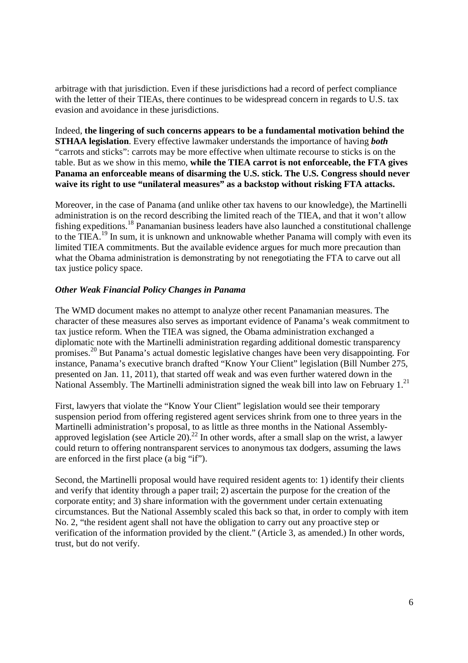arbitrage with that jurisdiction. Even if these jurisdictions had a record of perfect compliance with the letter of their TIEAs, there continues to be widespread concern in regards to U.S. tax evasion and avoidance in these jurisdictions.

Indeed, **the lingering of such concerns appears to be a fundamental motivation behind the STHAA legislation**. Every effective lawmaker understands the importance of having *both*  "carrots and sticks": carrots may be more effective when ultimate recourse to sticks is on the table. But as we show in this memo, **while the TIEA carrot is not enforceable, the FTA gives Panama an enforceable means of disarming the U.S. stick. The U.S. Congress should never waive its right to use "unilateral measures" as a backstop without risking FTA attacks.**

Moreover, in the case of Panama (and unlike other tax havens to our knowledge), the Martinelli administration is on the record describing the limited reach of the TIEA, and that it won't allow fishing expeditions.<sup>18</sup> Panamanian business leaders have also launched a constitutional challenge to the TIEA.<sup>19</sup> In sum, it is unknown and unknowable whether Panama will comply with even its limited TIEA commitments. But the available evidence argues for much more precaution than what the Obama administration is demonstrating by not renegotiating the FTA to carve out all tax justice policy space.

## *Other Weak Financial Policy Changes in Panama*

The WMD document makes no attempt to analyze other recent Panamanian measures. The character of these measures also serves as important evidence of Panama's weak commitment to tax justice reform. When the TIEA was signed, the Obama administration exchanged a diplomatic note with the Martinelli administration regarding additional domestic transparency promises.<sup>20</sup> But Panama's actual domestic legislative changes have been very disappointing. For instance, Panama's executive branch drafted "Know Your Client" legislation (Bill Number 275, presented on Jan. 11, 2011), that started off weak and was even further watered down in the National Assembly. The Martinelli administration signed the weak bill into law on February 1.<sup>21</sup>

First, lawyers that violate the "Know Your Client" legislation would see their temporary suspension period from offering registered agent services shrink from one to three years in the Martinelli administration's proposal, to as little as three months in the National Assemblyapproved legislation (see Article 20).<sup>22</sup> In other words, after a small slap on the wrist, a lawyer could return to offering nontransparent services to anonymous tax dodgers, assuming the laws are enforced in the first place (a big "if").

Second, the Martinelli proposal would have required resident agents to: 1) identify their clients and verify that identity through a paper trail; 2) ascertain the purpose for the creation of the corporate entity; and 3) share information with the government under certain extenuating circumstances. But the National Assembly scaled this back so that, in order to comply with item No. 2, "the resident agent shall not have the obligation to carry out any proactive step or verification of the information provided by the client." (Article 3, as amended.) In other words, trust, but do not verify.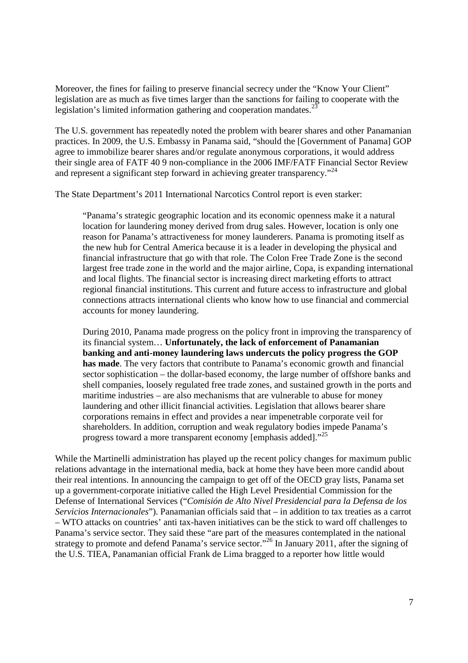Moreover, the fines for failing to preserve financial secrecy under the "Know Your Client" legislation are as much as five times larger than the sanctions for failing to cooperate with the legislation's limited information gathering and cooperation mandates.<sup>23</sup>

The U.S. government has repeatedly noted the problem with bearer shares and other Panamanian practices. In 2009, the U.S. Embassy in Panama said, "should the [Government of Panama] GOP agree to immobilize bearer shares and/or regulate anonymous corporations, it would address their single area of FATF 40 9 non-compliance in the 2006 IMF/FATF Financial Sector Review and represent a significant step forward in achieving greater transparency."<sup>24</sup>

The State Department's 2011 International Narcotics Control report is even starker:

"Panama's strategic geographic location and its economic openness make it a natural location for laundering money derived from drug sales. However, location is only one reason for Panama's attractiveness for money launderers. Panama is promoting itself as the new hub for Central America because it is a leader in developing the physical and financial infrastructure that go with that role. The Colon Free Trade Zone is the second largest free trade zone in the world and the major airline, Copa, is expanding international and local flights. The financial sector is increasing direct marketing efforts to attract regional financial institutions. This current and future access to infrastructure and global connections attracts international clients who know how to use financial and commercial accounts for money laundering.

During 2010, Panama made progress on the policy front in improving the transparency of its financial system… **Unfortunately, the lack of enforcement of Panamanian banking and anti-money laundering laws undercuts the policy progress the GOP has made**. The very factors that contribute to Panama's economic growth and financial sector sophistication – the dollar-based economy, the large number of offshore banks and shell companies, loosely regulated free trade zones, and sustained growth in the ports and maritime industries – are also mechanisms that are vulnerable to abuse for money laundering and other illicit financial activities. Legislation that allows bearer share corporations remains in effect and provides a near impenetrable corporate veil for shareholders. In addition, corruption and weak regulatory bodies impede Panama's progress toward a more transparent economy [emphasis added]."<sup>25</sup>

While the Martinelli administration has played up the recent policy changes for maximum public relations advantage in the international media, back at home they have been more candid about their real intentions. In announcing the campaign to get off of the OECD gray lists, Panama set up a government-corporate initiative called the High Level Presidential Commission for the Defense of International Services ("*Comisión de Alto Nivel Presidencial para la Defensa de los Servicios Internacionales*"). Panamanian officials said that – in addition to tax treaties as a carrot – WTO attacks on countries' anti tax-haven initiatives can be the stick to ward off challenges to Panama's service sector. They said these "are part of the measures contemplated in the national strategy to promote and defend Panama's service sector."<sup>26</sup> In January 2011, after the signing of the U.S. TIEA, Panamanian official Frank de Lima bragged to a reporter how little would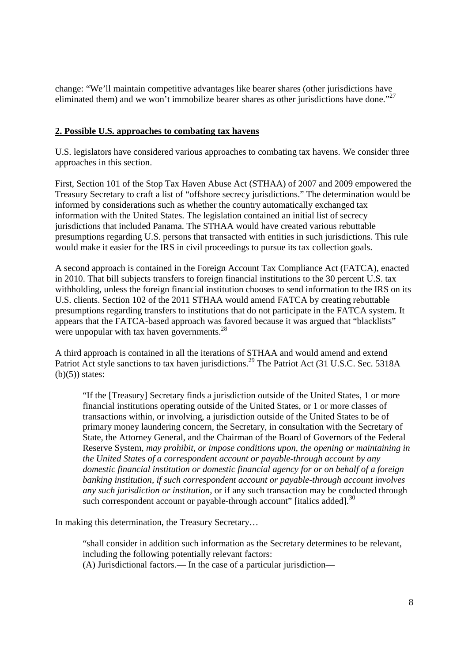change: "We'll maintain competitive advantages like bearer shares (other jurisdictions have eliminated them) and we won't immobilize bearer shares as other jurisdictions have done."<sup>27</sup>

## **2. Possible U.S. approaches to combating tax havens**

U.S. legislators have considered various approaches to combating tax havens. We consider three approaches in this section.

First, Section 101 of the Stop Tax Haven Abuse Act (STHAA) of 2007 and 2009 empowered the Treasury Secretary to craft a list of "offshore secrecy jurisdictions." The determination would be informed by considerations such as whether the country automatically exchanged tax information with the United States. The legislation contained an initial list of secrecy jurisdictions that included Panama. The STHAA would have created various rebuttable presumptions regarding U.S. persons that transacted with entities in such jurisdictions. This rule would make it easier for the IRS in civil proceedings to pursue its tax collection goals.

A second approach is contained in the Foreign Account Tax Compliance Act (FATCA), enacted in 2010. That bill subjects transfers to foreign financial institutions to the 30 percent U.S. tax withholding, unless the foreign financial institution chooses to send information to the IRS on its U.S. clients. Section 102 of the 2011 STHAA would amend FATCA by creating rebuttable presumptions regarding transfers to institutions that do not participate in the FATCA system. It appears that the FATCA-based approach was favored because it was argued that "blacklists" were unpopular with tax haven governments.<sup>28</sup>

A third approach is contained in all the iterations of STHAA and would amend and extend Patriot Act style sanctions to tax haven jurisdictions.<sup>29</sup> The Patriot Act (31 U.S.C. Sec. 5318A  $(b)(5)$ ) states:

"If the [Treasury] Secretary finds a jurisdiction outside of the United States, 1 or more financial institutions operating outside of the United States, or 1 or more classes of transactions within, or involving, a jurisdiction outside of the United States to be of primary money laundering concern, the Secretary, in consultation with the Secretary of State, the Attorney General, and the Chairman of the Board of Governors of the Federal Reserve System, *may prohibit, or impose conditions upon, the opening or maintaining in the United States of a correspondent account or payable-through account by any domestic financial institution or domestic financial agency for or on behalf of a foreign banking institution, if such correspondent account or payable-through account involves any such jurisdiction or institution*, or if any such transaction may be conducted through such correspondent account or payable-through account" [italics added].<sup>30</sup>

In making this determination, the Treasury Secretary…

"shall consider in addition such information as the Secretary determines to be relevant, including the following potentially relevant factors: (A) Jurisdictional factors.— In the case of a particular jurisdiction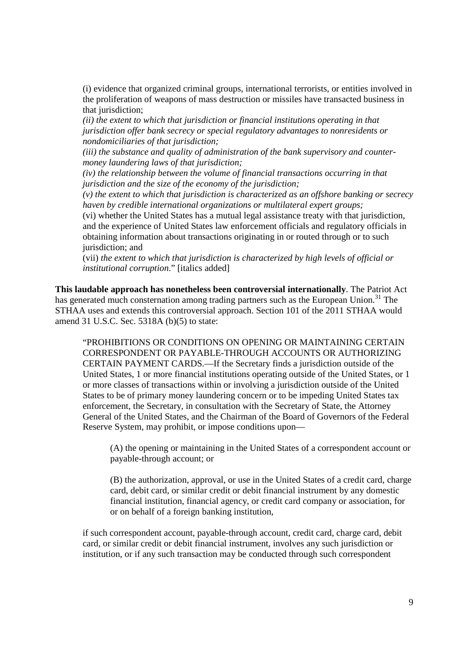(i) evidence that organized criminal groups, international terrorists, or entities involved in the proliferation of weapons of mass destruction or missiles have transacted business in that jurisdiction;

*(ii) the extent to which that jurisdiction or financial institutions operating in that jurisdiction offer bank secrecy or special regulatory advantages to nonresidents or nondomiciliaries of that jurisdiction;* 

*(iii) the substance and quality of administration of the bank supervisory and countermoney laundering laws of that jurisdiction;* 

*(iv) the relationship between the volume of financial transactions occurring in that jurisdiction and the size of the economy of the jurisdiction;* 

*(v) the extent to which that jurisdiction is characterized as an offshore banking or secrecy haven by credible international organizations or multilateral expert groups;*  (vi) whether the United States has a mutual legal assistance treaty with that jurisdiction,

and the experience of United States law enforcement officials and regulatory officials in obtaining information about transactions originating in or routed through or to such jurisdiction; and

(vii) *the extent to which that jurisdiction is characterized by high levels of official or institutional corruption*." [italics added]

**This laudable approach has nonetheless been controversial internationally**. The Patriot Act has generated much consternation among trading partners such as the European Union.<sup>31</sup> The STHAA uses and extends this controversial approach. Section 101 of the 2011 STHAA would amend 31 U.S.C. Sec. 5318A (b)(5) to state:

"PROHIBITIONS OR CONDITIONS ON OPENING OR MAINTAINING CERTAIN CORRESPONDENT OR PAYABLE-THROUGH ACCOUNTS OR AUTHORIZING CERTAIN PAYMENT CARDS.—If the Secretary finds a jurisdiction outside of the United States, 1 or more financial institutions operating outside of the United States, or 1 or more classes of transactions within or involving a jurisdiction outside of the United States to be of primary money laundering concern or to be impeding United States tax enforcement, the Secretary, in consultation with the Secretary of State, the Attorney General of the United States, and the Chairman of the Board of Governors of the Federal Reserve System, may prohibit, or impose conditions upon—

(A) the opening or maintaining in the United States of a correspondent account or payable-through account; or

(B) the authorization, approval, or use in the United States of a credit card, charge card, debit card, or similar credit or debit financial instrument by any domestic financial institution, financial agency, or credit card company or association, for or on behalf of a foreign banking institution,

if such correspondent account, payable-through account, credit card, charge card, debit card, or similar credit or debit financial instrument, involves any such jurisdiction or institution, or if any such transaction may be conducted through such correspondent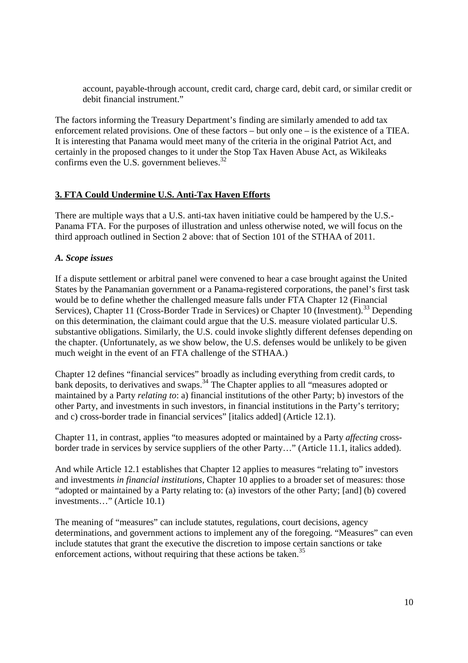account, payable-through account, credit card, charge card, debit card, or similar credit or debit financial instrument."

The factors informing the Treasury Department's finding are similarly amended to add tax enforcement related provisions. One of these factors – but only one – is the existence of a TIEA. It is interesting that Panama would meet many of the criteria in the original Patriot Act, and certainly in the proposed changes to it under the Stop Tax Haven Abuse Act, as Wikileaks confirms even the U.S. government believes.<sup>32</sup>

## **3. FTA Could Undermine U.S. Anti-Tax Haven Efforts**

There are multiple ways that a U.S. anti-tax haven initiative could be hampered by the U.S.- Panama FTA. For the purposes of illustration and unless otherwise noted, we will focus on the third approach outlined in Section 2 above: that of Section 101 of the STHAA of 2011.

#### *A. Scope issues*

If a dispute settlement or arbitral panel were convened to hear a case brought against the United States by the Panamanian government or a Panama-registered corporations, the panel's first task would be to define whether the challenged measure falls under FTA Chapter 12 (Financial Services), Chapter 11 (Cross-Border Trade in Services) or Chapter 10 (Investment).<sup>33</sup> Depending on this determination, the claimant could argue that the U.S. measure violated particular U.S. substantive obligations. Similarly, the U.S. could invoke slightly different defenses depending on the chapter. (Unfortunately, as we show below, the U.S. defenses would be unlikely to be given much weight in the event of an FTA challenge of the STHAA.)

Chapter 12 defines "financial services" broadly as including everything from credit cards, to bank deposits, to derivatives and swaps.<sup>34</sup> The Chapter applies to all "measures adopted or maintained by a Party *relating to*: a) financial institutions of the other Party; b) investors of the other Party, and investments in such investors, in financial institutions in the Party's territory; and c) cross-border trade in financial services" [italics added] (Article 12.1).

Chapter 11, in contrast, applies "to measures adopted or maintained by a Party *affecting* crossborder trade in services by service suppliers of the other Party…" (Article 11.1, italics added).

And while Article 12.1 establishes that Chapter 12 applies to measures "relating to" investors and investments *in financial institutions*, Chapter 10 applies to a broader set of measures: those "adopted or maintained by a Party relating to: (a) investors of the other Party; [and] (b) covered investments…" (Article 10.1)

The meaning of "measures" can include statutes, regulations, court decisions, agency determinations, and government actions to implement any of the foregoing. "Measures" can even include statutes that grant the executive the discretion to impose certain sanctions or take enforcement actions, without requiring that these actions be taken.<sup>35</sup>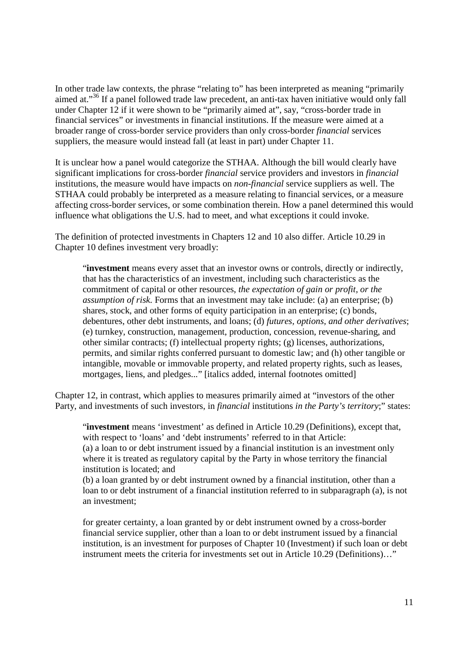In other trade law contexts, the phrase "relating to" has been interpreted as meaning "primarily aimed at."<sup>36</sup> If a panel followed trade law precedent, an anti-tax haven initiative would only fall under Chapter 12 if it were shown to be "primarily aimed at", say, "cross-border trade in financial services" or investments in financial institutions. If the measure were aimed at a broader range of cross-border service providers than only cross-border *financial* services suppliers, the measure would instead fall (at least in part) under Chapter 11.

It is unclear how a panel would categorize the STHAA. Although the bill would clearly have significant implications for cross-border *financial* service providers and investors in *financial*  institutions, the measure would have impacts on *non-financial* service suppliers as well. The STHAA could probably be interpreted as a measure relating to financial services, or a measure affecting cross-border services, or some combination therein. How a panel determined this would influence what obligations the U.S. had to meet, and what exceptions it could invoke.

The definition of protected investments in Chapters 12 and 10 also differ. Article 10.29 in Chapter 10 defines investment very broadly:

"**investment** means every asset that an investor owns or controls, directly or indirectly, that has the characteristics of an investment, including such characteristics as the commitment of capital or other resources, *the expectation of gain or profit, or the assumption of risk*. Forms that an investment may take include: (a) an enterprise; (b) shares, stock, and other forms of equity participation in an enterprise; (c) bonds, debentures, other debt instruments, and loans; (d) *futures, options, and other derivatives*; (e) turnkey, construction, management, production, concession, revenue-sharing, and other similar contracts; (f) intellectual property rights; (g) licenses, authorizations, permits, and similar rights conferred pursuant to domestic law; and (h) other tangible or intangible, movable or immovable property, and related property rights, such as leases, mortgages, liens, and pledges..." [italics added, internal footnotes omitted]

Chapter 12, in contrast, which applies to measures primarily aimed at "investors of the other Party, and investments of such investors, in *financial* institutions *in the Party's territory*;" states:

"**investment** means 'investment' as defined in Article 10.29 (Definitions), except that, with respect to 'loans' and 'debt instruments' referred to in that Article: (a) a loan to or debt instrument issued by a financial institution is an investment only where it is treated as regulatory capital by the Party in whose territory the financial institution is located; and

(b) a loan granted by or debt instrument owned by a financial institution, other than a loan to or debt instrument of a financial institution referred to in subparagraph (a), is not an investment;

for greater certainty, a loan granted by or debt instrument owned by a cross-border financial service supplier, other than a loan to or debt instrument issued by a financial institution, is an investment for purposes of Chapter 10 (Investment) if such loan or debt instrument meets the criteria for investments set out in Article 10.29 (Definitions)…"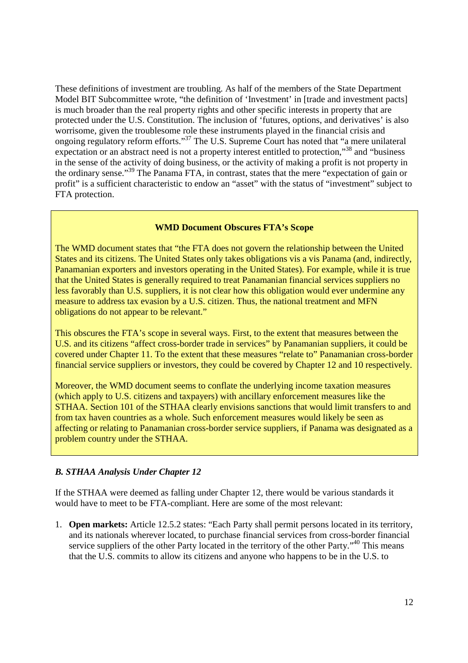These definitions of investment are troubling. As half of the members of the State Department Model BIT Subcommittee wrote, "the definition of 'Investment' in [trade and investment pacts] is much broader than the real property rights and other specific interests in property that are protected under the U.S. Constitution. The inclusion of 'futures, options, and derivatives' is also worrisome, given the troublesome role these instruments played in the financial crisis and ongoing regulatory reform efforts."<sup>37</sup> The U.S. Supreme Court has noted that "a mere unilateral expectation or an abstract need is not a property interest entitled to protection,"<sup>38</sup> and "business" in the sense of the activity of doing business, or the activity of making a profit is not property in the ordinary sense."<sup>39</sup> The Panama FTA, in contrast, states that the mere "expectation of gain or profit" is a sufficient characteristic to endow an "asset" with the status of "investment" subject to FTA protection.

## **WMD Document Obscures FTA's Scope**

The WMD document states that "the FTA does not govern the relationship between the United States and its citizens. The United States only takes obligations vis a vis Panama (and, indirectly, Panamanian exporters and investors operating in the United States). For example, while it is true that the United States is generally required to treat Panamanian financial services suppliers no less favorably than U.S. suppliers, it is not clear how this obligation would ever undermine any measure to address tax evasion by a U.S. citizen. Thus, the national treatment and MFN obligations do not appear to be relevant."

This obscures the FTA's scope in several ways. First, to the extent that measures between the U.S. and its citizens "affect cross-border trade in services" by Panamanian suppliers, it could be covered under Chapter 11. To the extent that these measures "relate to" Panamanian cross-border financial service suppliers or investors, they could be covered by Chapter 12 and 10 respectively.

Moreover, the WMD document seems to conflate the underlying income taxation measures (which apply to U.S. citizens and taxpayers) with ancillary enforcement measures like the STHAA. Section 101 of the STHAA clearly envisions sanctions that would limit transfers to and from tax haven countries as a whole. Such enforcement measures would likely be seen as affecting or relating to Panamanian cross-border service suppliers, if Panama was designated as a problem country under the STHAA.

## *B. STHAA Analysis Under Chapter 12*

If the STHAA were deemed as falling under Chapter 12, there would be various standards it would have to meet to be FTA-compliant. Here are some of the most relevant:

1. **Open markets:** Article 12.5.2 states: "Each Party shall permit persons located in its territory, and its nationals wherever located, to purchase financial services from cross-border financial service suppliers of the other Party located in the territory of the other Party."<sup>40</sup> This means that the U.S. commits to allow its citizens and anyone who happens to be in the U.S. to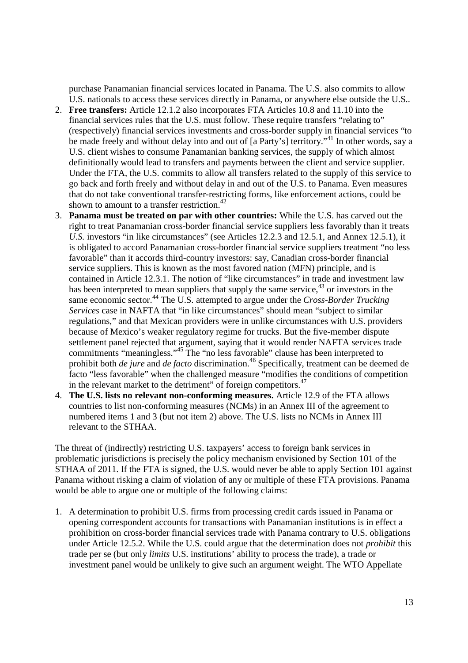purchase Panamanian financial services located in Panama. The U.S. also commits to allow U.S. nationals to access these services directly in Panama, or anywhere else outside the U.S..

- 2. **Free transfers:** Article 12.1.2 also incorporates FTA Articles 10.8 and 11.10 into the financial services rules that the U.S. must follow. These require transfers "relating to" (respectively) financial services investments and cross-border supply in financial services "to be made freely and without delay into and out of [a Party's] territory."<sup>41</sup> In other words, say a U.S. client wishes to consume Panamanian banking services, the supply of which almost definitionally would lead to transfers and payments between the client and service supplier. Under the FTA, the U.S. commits to allow all transfers related to the supply of this service to go back and forth freely and without delay in and out of the U.S. to Panama. Even measures that do not take conventional transfer-restricting forms, like enforcement actions, could be shown to amount to a transfer restriction. $42$
- 3. **Panama must be treated on par with other countries:** While the U.S. has carved out the right to treat Panamanian cross-border financial service suppliers less favorably than it treats *U.S.* investors "in like circumstances" (see Articles 12.2.3 and 12.5.1, and Annex 12.5.1), it is obligated to accord Panamanian cross-border financial service suppliers treatment "no less favorable" than it accords third-country investors: say, Canadian cross-border financial service suppliers. This is known as the most favored nation (MFN) principle, and is contained in Article 12.3.1. The notion of "like circumstances" in trade and investment law has been interpreted to mean suppliers that supply the same service,  $43$  or investors in the same economic sector.<sup>44</sup> The U.S. attempted to argue under the *Cross-Border Trucking Services* case in NAFTA that "in like circumstances" should mean "subject to similar regulations," and that Mexican providers were in unlike circumstances with U.S. providers because of Mexico's weaker regulatory regime for trucks. But the five-member dispute settlement panel rejected that argument, saying that it would render NAFTA services trade commitments "meaningless."<sup>45</sup> The "no less favorable" clause has been interpreted to prohibit both *de jure* and *de facto* discrimination.<sup>46</sup> Specifically, treatment can be deemed de facto "less favorable" when the challenged measure "modifies the conditions of competition in the relevant market to the detriment" of foreign competitors.<sup>47</sup>
- 4. **The U.S. lists no relevant non-conforming measures.** Article 12.9 of the FTA allows countries to list non-conforming measures (NCMs) in an Annex III of the agreement to numbered items 1 and 3 (but not item 2) above. The U.S. lists no NCMs in Annex III relevant to the STHAA.

The threat of (indirectly) restricting U.S. taxpayers' access to foreign bank services in problematic jurisdictions is precisely the policy mechanism envisioned by Section 101 of the STHAA of 2011. If the FTA is signed, the U.S. would never be able to apply Section 101 against Panama without risking a claim of violation of any or multiple of these FTA provisions. Panama would be able to argue one or multiple of the following claims:

1. A determination to prohibit U.S. firms from processing credit cards issued in Panama or opening correspondent accounts for transactions with Panamanian institutions is in effect a prohibition on cross-border financial services trade with Panama contrary to U.S. obligations under Article 12.5.2. While the U.S. could argue that the determination does not *prohibit* this trade per se (but only *limits* U.S. institutions' ability to process the trade), a trade or investment panel would be unlikely to give such an argument weight. The WTO Appellate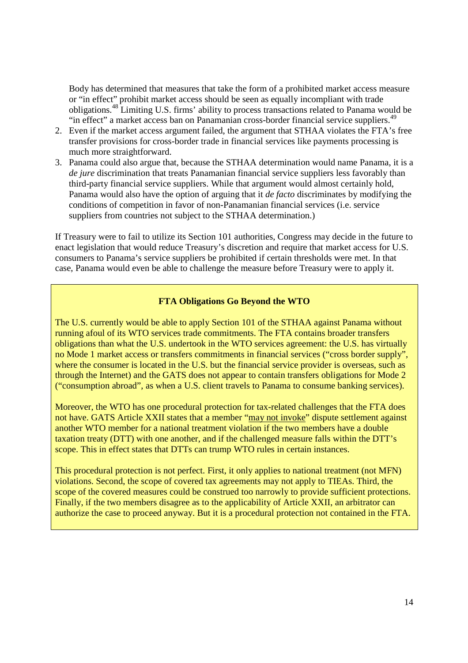Body has determined that measures that take the form of a prohibited market access measure or "in effect" prohibit market access should be seen as equally incompliant with trade obligations.<sup>48</sup> Limiting U.S. firms' ability to process transactions related to Panama would be "in effect" a market access ban on Panamanian cross-border financial service suppliers.<sup>49</sup>

- 2. Even if the market access argument failed, the argument that STHAA violates the FTA's free transfer provisions for cross-border trade in financial services like payments processing is much more straightforward.
- 3. Panama could also argue that, because the STHAA determination would name Panama, it is a *de jure* discrimination that treats Panamanian financial service suppliers less favorably than third-party financial service suppliers. While that argument would almost certainly hold, Panama would also have the option of arguing that it *de facto* discriminates by modifying the conditions of competition in favor of non-Panamanian financial services (i.e. service suppliers from countries not subject to the STHAA determination.)

If Treasury were to fail to utilize its Section 101 authorities, Congress may decide in the future to enact legislation that would reduce Treasury's discretion and require that market access for U.S. consumers to Panama's service suppliers be prohibited if certain thresholds were met. In that case, Panama would even be able to challenge the measure before Treasury were to apply it.

## **FTA Obligations Go Beyond the WTO**

The U.S. currently would be able to apply Section 101 of the STHAA against Panama without running afoul of its WTO services trade commitments. The FTA contains broader transfers obligations than what the U.S. undertook in the WTO services agreement: the U.S. has virtually no Mode 1 market access or transfers commitments in financial services ("cross border supply", where the consumer is located in the U.S. but the financial service provider is overseas, such as through the Internet) and the GATS does not appear to contain transfers obligations for Mode 2 ("consumption abroad", as when a U.S. client travels to Panama to consume banking services).

Moreover, the WTO has one procedural protection for tax-related challenges that the FTA does not have. GATS Article XXII states that a member "may not invoke" dispute settlement against another WTO member for a national treatment violation if the two members have a double taxation treaty (DTT) with one another, and if the challenged measure falls within the DTT's scope. This in effect states that DTTs can trump WTO rules in certain instances.

This procedural protection is not perfect. First, it only applies to national treatment (not MFN) violations. Second, the scope of covered tax agreements may not apply to TIEAs. Third, the scope of the covered measures could be construed too narrowly to provide sufficient protections. Finally, if the two members disagree as to the applicability of Article XXII, an arbitrator can authorize the case to proceed anyway. But it is a procedural protection not contained in the FTA.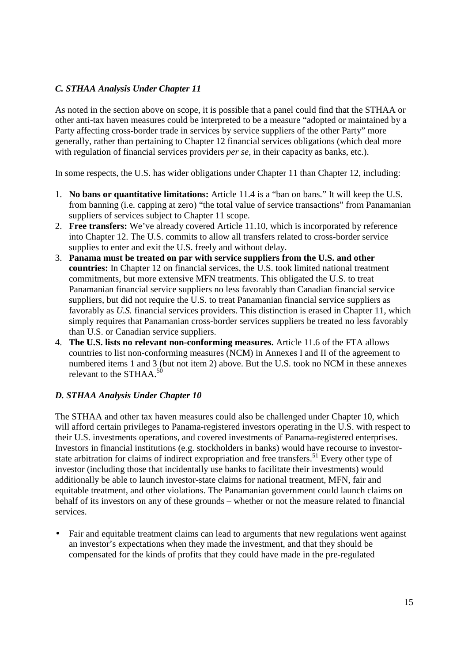## *C. STHAA Analysis Under Chapter 11*

As noted in the section above on scope, it is possible that a panel could find that the STHAA or other anti-tax haven measures could be interpreted to be a measure "adopted or maintained by a Party affecting cross-border trade in services by service suppliers of the other Party" more generally, rather than pertaining to Chapter 12 financial services obligations (which deal more with regulation of financial services providers *per se,* in their capacity as banks, etc.).

In some respects, the U.S. has wider obligations under Chapter 11 than Chapter 12, including:

- 1. **No bans or quantitative limitations:** Article 11.4 is a "ban on bans." It will keep the U.S. from banning (i.e. capping at zero) "the total value of service transactions" from Panamanian suppliers of services subject to Chapter 11 scope.
- 2. **Free transfers:** We've already covered Article 11.10, which is incorporated by reference into Chapter 12. The U.S. commits to allow all transfers related to cross-border service supplies to enter and exit the U.S. freely and without delay.
- 3. **Panama must be treated on par with service suppliers from the U.S. and other countries:** In Chapter 12 on financial services, the U.S. took limited national treatment commitments, but more extensive MFN treatments. This obligated the U.S. to treat Panamanian financial service suppliers no less favorably than Canadian financial service suppliers, but did not require the U.S. to treat Panamanian financial service suppliers as favorably as *U.S.* financial services providers. This distinction is erased in Chapter 11, which simply requires that Panamanian cross-border services suppliers be treated no less favorably than U.S. or Canadian service suppliers.
- 4. **The U.S. lists no relevant non-conforming measures.** Article 11.6 of the FTA allows countries to list non-conforming measures (NCM) in Annexes I and II of the agreement to numbered items 1 and 3 (but not item 2) above. But the U.S. took no NCM in these annexes relevant to the STHAA. $^{50}$

## *D. STHAA Analysis Under Chapter 10*

The STHAA and other tax haven measures could also be challenged under Chapter 10, which will afford certain privileges to Panama-registered investors operating in the U.S. with respect to their U.S. investments operations, and covered investments of Panama-registered enterprises. Investors in financial institutions (e.g. stockholders in banks) would have recourse to investorstate arbitration for claims of indirect expropriation and free transfers.<sup>51</sup> Every other type of investor (including those that incidentally use banks to facilitate their investments) would additionally be able to launch investor-state claims for national treatment, MFN, fair and equitable treatment, and other violations. The Panamanian government could launch claims on behalf of its investors on any of these grounds – whether or not the measure related to financial services.

• Fair and equitable treatment claims can lead to arguments that new regulations went against an investor's expectations when they made the investment, and that they should be compensated for the kinds of profits that they could have made in the pre-regulated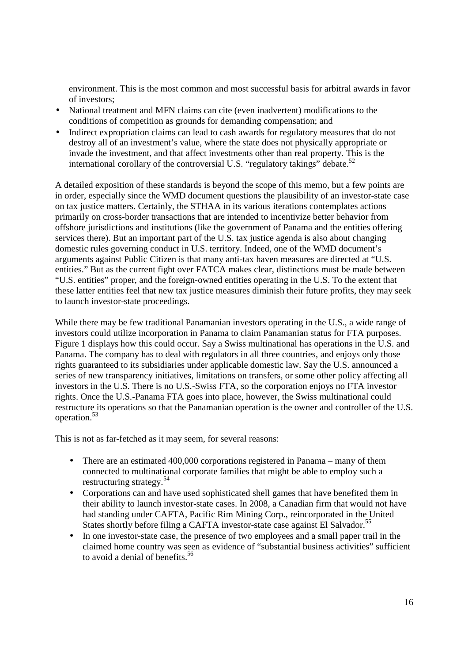environment. This is the most common and most successful basis for arbitral awards in favor of investors;

- National treatment and MFN claims can cite (even inadvertent) modifications to the conditions of competition as grounds for demanding compensation; and
- Indirect expropriation claims can lead to cash awards for regulatory measures that do not destroy all of an investment's value, where the state does not physically appropriate or invade the investment, and that affect investments other than real property. This is the international corollary of the controversial U.S. "regulatory takings" debate.<sup>52</sup>

A detailed exposition of these standards is beyond the scope of this memo, but a few points are in order, especially since the WMD document questions the plausibility of an investor-state case on tax justice matters. Certainly, the STHAA in its various iterations contemplates actions primarily on cross-border transactions that are intended to incentivize better behavior from offshore jurisdictions and institutions (like the government of Panama and the entities offering services there). But an important part of the U.S. tax justice agenda is also about changing domestic rules governing conduct in U.S. territory. Indeed, one of the WMD document's arguments against Public Citizen is that many anti-tax haven measures are directed at "U.S. entities." But as the current fight over FATCA makes clear, distinctions must be made between "U.S. entities" proper, and the foreign-owned entities operating in the U.S. To the extent that these latter entities feel that new tax justice measures diminish their future profits, they may seek to launch investor-state proceedings.

While there may be few traditional Panamanian investors operating in the U.S., a wide range of investors could utilize incorporation in Panama to claim Panamanian status for FTA purposes. Figure 1 displays how this could occur. Say a Swiss multinational has operations in the U.S. and Panama. The company has to deal with regulators in all three countries, and enjoys only those rights guaranteed to its subsidiaries under applicable domestic law. Say the U.S. announced a series of new transparency initiatives, limitations on transfers, or some other policy affecting all investors in the U.S. There is no U.S.-Swiss FTA, so the corporation enjoys no FTA investor rights. Once the U.S.-Panama FTA goes into place, however, the Swiss multinational could restructure its operations so that the Panamanian operation is the owner and controller of the U.S. operation.<sup>53</sup>

This is not as far-fetched as it may seem, for several reasons:

- There are an estimated 400,000 corporations registered in Panama many of them connected to multinational corporate families that might be able to employ such a restructuring strategy.<sup>54</sup>
- Corporations can and have used sophisticated shell games that have benefited them in their ability to launch investor-state cases. In 2008, a Canadian firm that would not have had standing under CAFTA, Pacific Rim Mining Corp., reincorporated in the United States shortly before filing a CAFTA investor-state case against El Salvador.<sup>55</sup>
- In one investor-state case, the presence of two employees and a small paper trail in the claimed home country was seen as evidence of "substantial business activities" sufficient to avoid a denial of benefits.<sup>56</sup>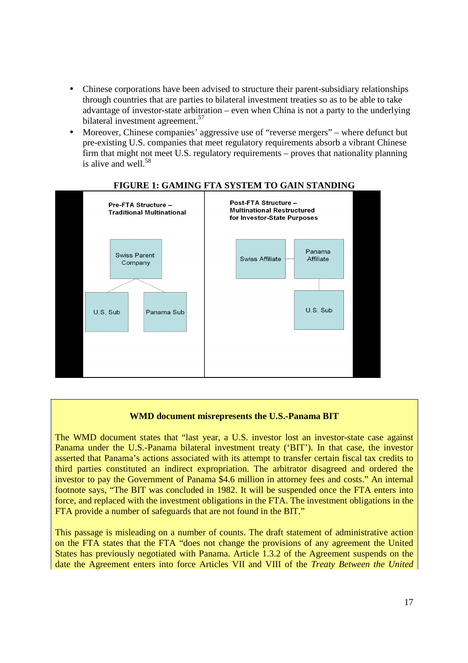- Chinese corporations have been advised to structure their parent-subsidiary relationships through countries that are parties to bilateral investment treaties so as to be able to take advantage of investor-state arbitration – even when China is not a party to the underlying bilateral investment agreement.<sup>57</sup>
- Moreover, Chinese companies' aggressive use of "reverse mergers" where defunct but pre-existing U.S. companies that meet regulatory requirements absorb a vibrant Chinese firm that might not meet U.S. regulatory requirements – proves that nationality planning is alive and well.<sup>58</sup>



#### **FIGURE 1: GAMING FTA SYSTEM TO GAIN STANDING**

#### **WMD document misrepresents the U.S.-Panama BIT**

The WMD document states that "last year, a U.S. investor lost an investor-state case against Panama under the U.S.-Panama bilateral investment treaty ('BIT'). In that case, the investor asserted that Panama's actions associated with its attempt to transfer certain fiscal tax credits to third parties constituted an indirect expropriation. The arbitrator disagreed and ordered the investor to pay the Government of Panama \$4.6 million in attorney fees and costs." An internal footnote says, "The BIT was concluded in 1982. It will be suspended once the FTA enters into force, and replaced with the investment obligations in the FTA. The investment obligations in the FTA provide a number of safeguards that are not found in the BIT."

This passage is misleading on a number of counts. The draft statement of administrative action on the FTA states that the FTA "does not change the provisions of any agreement the United States has previously negotiated with Panama. Article 1.3.2 of the Agreement suspends on the date the Agreement enters into force Articles VII and VIII of the *Treaty Between the United*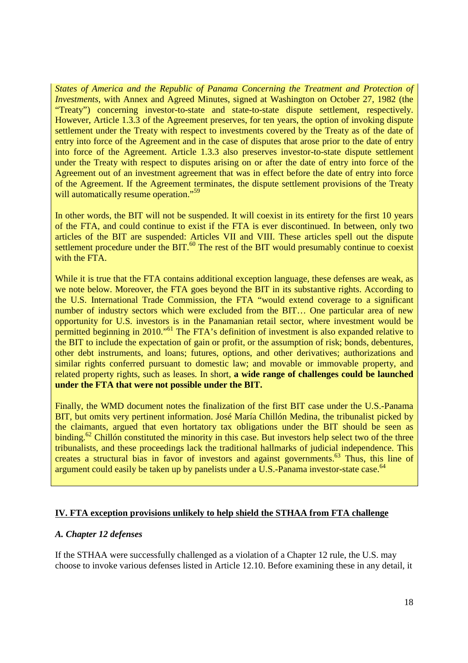*States of America and the Republic of Panama Concerning the Treatment and Protection of Investments*, with Annex and Agreed Minutes, signed at Washington on October 27, 1982 (the "Treaty") concerning investor-to-state and state-to-state dispute settlement, respectively. However, Article 1.3.3 of the Agreement preserves, for ten years, the option of invoking dispute settlement under the Treaty with respect to investments covered by the Treaty as of the date of entry into force of the Agreement and in the case of disputes that arose prior to the date of entry into force of the Agreement. Article 1.3.3 also preserves investor-to-state dispute settlement under the Treaty with respect to disputes arising on or after the date of entry into force of the Agreement out of an investment agreement that was in effect before the date of entry into force of the Agreement. If the Agreement terminates, the dispute settlement provisions of the Treaty will automatically resume operation."<sup>59</sup>

In other words, the BIT will not be suspended. It will coexist in its entirety for the first 10 years of the FTA, and could continue to exist if the FTA is ever discontinued. In between, only two articles of the BIT are suspended: Articles VII and VIII. These articles spell out the dispute settlement procedure under the BIT.<sup>60</sup> The rest of the BIT would presumably continue to coexist with the FTA.

While it is true that the FTA contains additional exception language, these defenses are weak, as we note below. Moreover, the FTA goes beyond the BIT in its substantive rights. According to the U.S. International Trade Commission, the FTA "would extend coverage to a significant number of industry sectors which were excluded from the BIT… One particular area of new opportunity for U.S. investors is in the Panamanian retail sector, where investment would be permitted beginning in 2010."<sup>61</sup> The FTA's definition of investment is also expanded relative to the BIT to include the expectation of gain or profit, or the assumption of risk; bonds, debentures, other debt instruments, and loans; futures, options, and other derivatives; authorizations and similar rights conferred pursuant to domestic law; and movable or immovable property, and related property rights, such as leases. In short, **a wide range of challenges could be launched under the FTA that were not possible under the BIT.**

Finally, the WMD document notes the finalization of the first BIT case under the U.S.-Panama BIT, but omits very pertinent information. José María Chillón Medina, the tribunalist picked by the claimants, argued that even hortatory tax obligations under the BIT should be seen as binding.<sup>62</sup> Chillón constituted the minority in this case. But investors help select two of the three tribunalists, and these proceedings lack the traditional hallmarks of judicial independence. This creates a structural bias in favor of investors and against governments.<sup>63</sup> Thus, this line of argument could easily be taken up by panelists under a  $\overline{U.S.}$ -Panama investor-state case.  $^{64}$ 

## **IV. FTA exception provisions unlikely to help shield the STHAA from FTA challenge**

## *A. Chapter 12 defenses*

If the STHAA were successfully challenged as a violation of a Chapter 12 rule, the U.S. may choose to invoke various defenses listed in Article 12.10. Before examining these in any detail, it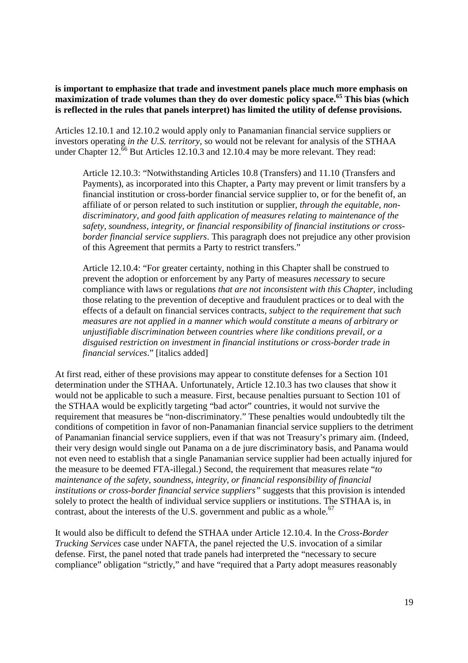**is important to emphasize that trade and investment panels place much more emphasis on maximization of trade volumes than they do over domestic policy space.<sup>65</sup> This bias (which is reflected in the rules that panels interpret) has limited the utility of defense provisions.** 

Articles 12.10.1 and 12.10.2 would apply only to Panamanian financial service suppliers or investors operating *in the U.S. territory*, so would not be relevant for analysis of the STHAA under Chapter 12.<sup>66</sup> But Articles 12.10.3 and 12.10.4 may be more relevant. They read:

Article 12.10.3: "Notwithstanding Articles 10.8 (Transfers) and 11.10 (Transfers and Payments), as incorporated into this Chapter, a Party may prevent or limit transfers by a financial institution or cross-border financial service supplier to, or for the benefit of, an affiliate of or person related to such institution or supplier, *through the equitable, nondiscriminatory, and good faith application of measures relating to maintenance of the safety, soundness, integrity, or financial responsibility of financial institutions or crossborder financial service suppliers*. This paragraph does not prejudice any other provision of this Agreement that permits a Party to restrict transfers."

Article 12.10.4: "For greater certainty, nothing in this Chapter shall be construed to prevent the adoption or enforcement by any Party of measures *necessary* to secure compliance with laws or regulations *that are not inconsistent with this Chapter*, including those relating to the prevention of deceptive and fraudulent practices or to deal with the effects of a default on financial services contracts, *subject to the requirement that such measures are not applied in a manner which would constitute a means of arbitrary or unjustifiable discrimination between countries where like conditions prevail, or a disguised restriction on investment in financial institutions or cross-border trade in financial services*." [italics added]

At first read, either of these provisions may appear to constitute defenses for a Section 101 determination under the STHAA. Unfortunately, Article 12.10.3 has two clauses that show it would not be applicable to such a measure. First, because penalties pursuant to Section 101 of the STHAA would be explicitly targeting "bad actor" countries, it would not survive the requirement that measures be "non-discriminatory." These penalties would undoubtedly tilt the conditions of competition in favor of non-Panamanian financial service suppliers to the detriment of Panamanian financial service suppliers, even if that was not Treasury's primary aim. (Indeed, their very design would single out Panama on a de jure discriminatory basis, and Panama would not even need to establish that a single Panamanian service supplier had been actually injured for the measure to be deemed FTA-illegal.) Second, the requirement that measures relate "*to maintenance of the safety, soundness, integrity, or financial responsibility of financial institutions or cross-border financial service suppliers"* suggests that this provision is intended solely to protect the health of individual service suppliers or institutions. The STHAA is, in contrast, about the interests of the U.S. government and public as a whole.<sup>67</sup>

It would also be difficult to defend the STHAA under Article 12.10.4. In the *Cross-Border Trucking Services* case under NAFTA, the panel rejected the U.S. invocation of a similar defense. First, the panel noted that trade panels had interpreted the "necessary to secure compliance" obligation "strictly," and have "required that a Party adopt measures reasonably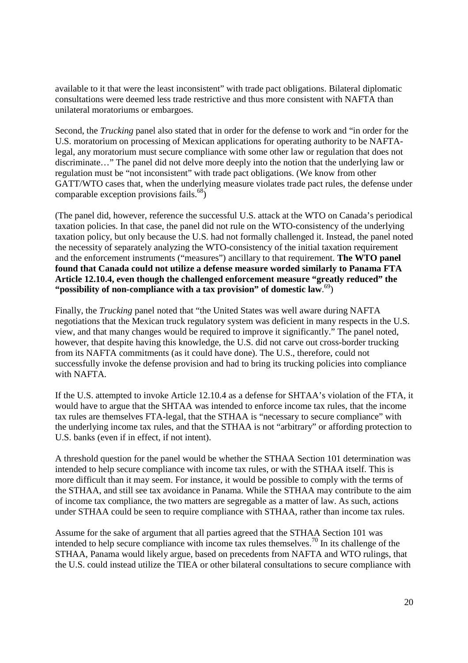available to it that were the least inconsistent" with trade pact obligations. Bilateral diplomatic consultations were deemed less trade restrictive and thus more consistent with NAFTA than unilateral moratoriums or embargoes.

Second, the *Trucking* panel also stated that in order for the defense to work and "in order for the U.S. moratorium on processing of Mexican applications for operating authority to be NAFTAlegal, any moratorium must secure compliance with some other law or regulation that does not discriminate…" The panel did not delve more deeply into the notion that the underlying law or regulation must be "not inconsistent" with trade pact obligations. (We know from other GATT/WTO cases that, when the underlying measure violates trade pact rules, the defense under comparable exception provisions fails. $^{68}$ )

(The panel did, however, reference the successful U.S. attack at the WTO on Canada's periodical taxation policies. In that case, the panel did not rule on the WTO-consistency of the underlying taxation policy, but only because the U.S. had not formally challenged it. Instead, the panel noted the necessity of separately analyzing the WTO-consistency of the initial taxation requirement and the enforcement instruments ("measures") ancillary to that requirement. **The WTO panel found that Canada could not utilize a defense measure worded similarly to Panama FTA Article 12.10.4, even though the challenged enforcement measure "greatly reduced" the**  "possibility of non-compliance with a tax provision" of domestic law.<sup>69</sup>)

Finally, the *Trucking* panel noted that "the United States was well aware during NAFTA negotiations that the Mexican truck regulatory system was deficient in many respects in the U.S. view, and that many changes would be required to improve it significantly." The panel noted, however, that despite having this knowledge, the U.S. did not carve out cross-border trucking from its NAFTA commitments (as it could have done). The U.S., therefore, could not successfully invoke the defense provision and had to bring its trucking policies into compliance with NAFTA.

If the U.S. attempted to invoke Article 12.10.4 as a defense for SHTAA's violation of the FTA, it would have to argue that the SHTAA was intended to enforce income tax rules, that the income tax rules are themselves FTA-legal, that the STHAA is "necessary to secure compliance" with the underlying income tax rules, and that the STHAA is not "arbitrary" or affording protection to U.S. banks (even if in effect, if not intent).

A threshold question for the panel would be whether the STHAA Section 101 determination was intended to help secure compliance with income tax rules, or with the STHAA itself. This is more difficult than it may seem. For instance, it would be possible to comply with the terms of the STHAA, and still see tax avoidance in Panama. While the STHAA may contribute to the aim of income tax compliance, the two matters are segregable as a matter of law. As such, actions under STHAA could be seen to require compliance with STHAA, rather than income tax rules.

Assume for the sake of argument that all parties agreed that the STHAA Section 101 was intended to help secure compliance with income tax rules themselves.<sup>70</sup> In its challenge of the STHAA, Panama would likely argue, based on precedents from NAFTA and WTO rulings, that the U.S. could instead utilize the TIEA or other bilateral consultations to secure compliance with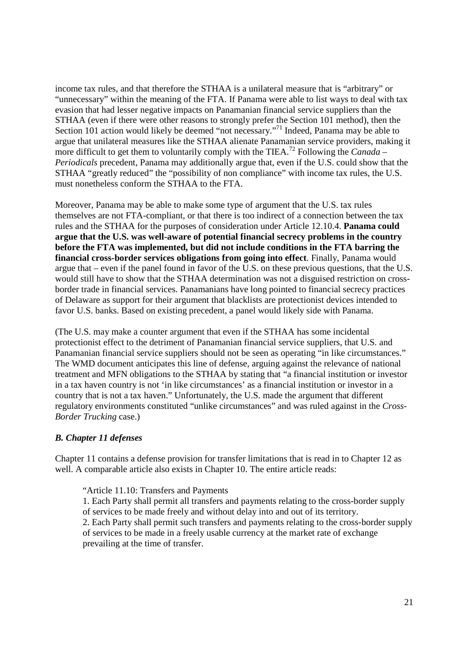income tax rules, and that therefore the STHAA is a unilateral measure that is "arbitrary" or "unnecessary" within the meaning of the FTA. If Panama were able to list ways to deal with tax evasion that had lesser negative impacts on Panamanian financial service suppliers than the STHAA (even if there were other reasons to strongly prefer the Section 101 method), then the Section 101 action would likely be deemed "not necessary."<sup>71</sup> Indeed, Panama may be able to argue that unilateral measures like the STHAA alienate Panamanian service providers, making it more difficult to get them to voluntarily comply with the TIEA.<sup>72</sup> Following the *Canada* – *Periodicals* precedent, Panama may additionally argue that, even if the U.S. could show that the STHAA "greatly reduced" the "possibility of non compliance" with income tax rules, the U.S. must nonetheless conform the STHAA to the FTA.

Moreover, Panama may be able to make some type of argument that the U.S. tax rules themselves are not FTA-compliant, or that there is too indirect of a connection between the tax rules and the STHAA for the purposes of consideration under Article 12.10.4. **Panama could argue that the U.S. was well-aware of potential financial secrecy problems in the country before the FTA was implemented, but did not include conditions in the FTA barring the financial cross-border services obligations from going into effect**. Finally, Panama would argue that – even if the panel found in favor of the U.S. on these previous questions, that the U.S. would still have to show that the STHAA determination was not a disguised restriction on crossborder trade in financial services. Panamanians have long pointed to financial secrecy practices of Delaware as support for their argument that blacklists are protectionist devices intended to favor U.S. banks. Based on existing precedent, a panel would likely side with Panama.

(The U.S. may make a counter argument that even if the STHAA has some incidental protectionist effect to the detriment of Panamanian financial service suppliers, that U.S. and Panamanian financial service suppliers should not be seen as operating "in like circumstances." The WMD document anticipates this line of defense, arguing against the relevance of national treatment and MFN obligations to the STHAA by stating that "a financial institution or investor in a tax haven country is not 'in like circumstances' as a financial institution or investor in a country that is not a tax haven." Unfortunately, the U.S. made the argument that different regulatory environments constituted "unlike circumstances" and was ruled against in the *Cross-Border Trucking* case.)

## *B. Chapter 11 defenses*

Chapter 11 contains a defense provision for transfer limitations that is read in to Chapter 12 as well. A comparable article also exists in Chapter 10. The entire article reads:

"Article 11.10: Transfers and Payments

1. Each Party shall permit all transfers and payments relating to the cross-border supply of services to be made freely and without delay into and out of its territory.

2. Each Party shall permit such transfers and payments relating to the cross-border supply of services to be made in a freely usable currency at the market rate of exchange prevailing at the time of transfer.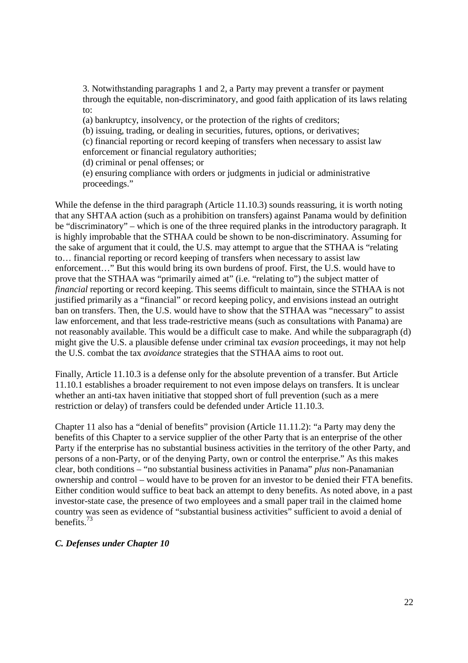3. Notwithstanding paragraphs 1 and 2, a Party may prevent a transfer or payment through the equitable, non-discriminatory, and good faith application of its laws relating to:

(a) bankruptcy, insolvency, or the protection of the rights of creditors;

(b) issuing, trading, or dealing in securities, futures, options, or derivatives;

(c) financial reporting or record keeping of transfers when necessary to assist law enforcement or financial regulatory authorities;

(d) criminal or penal offenses; or

(e) ensuring compliance with orders or judgments in judicial or administrative proceedings."

While the defense in the third paragraph (Article 11.10.3) sounds reassuring, it is worth noting that any SHTAA action (such as a prohibition on transfers) against Panama would by definition be "discriminatory" – which is one of the three required planks in the introductory paragraph. It is highly improbable that the STHAA could be shown to be non-discriminatory. Assuming for the sake of argument that it could, the U.S. may attempt to argue that the STHAA is "relating to… financial reporting or record keeping of transfers when necessary to assist law enforcement…" But this would bring its own burdens of proof. First, the U.S. would have to prove that the STHAA was "primarily aimed at" (i.e. "relating to") the subject matter of *financial* reporting or record keeping. This seems difficult to maintain, since the STHAA is not justified primarily as a "financial" or record keeping policy, and envisions instead an outright ban on transfers. Then, the U.S. would have to show that the STHAA was "necessary" to assist law enforcement, and that less trade-restrictive means (such as consultations with Panama) are not reasonably available. This would be a difficult case to make. And while the subparagraph (d) might give the U.S. a plausible defense under criminal tax *evasion* proceedings, it may not help the U.S. combat the tax *avoidance* strategies that the STHAA aims to root out.

Finally, Article 11.10.3 is a defense only for the absolute prevention of a transfer. But Article 11.10.1 establishes a broader requirement to not even impose delays on transfers. It is unclear whether an anti-tax haven initiative that stopped short of full prevention (such as a mere restriction or delay) of transfers could be defended under Article 11.10.3.

Chapter 11 also has a "denial of benefits" provision (Article 11.11.2): "a Party may deny the benefits of this Chapter to a service supplier of the other Party that is an enterprise of the other Party if the enterprise has no substantial business activities in the territory of the other Party, and persons of a non-Party, or of the denying Party, own or control the enterprise." As this makes clear, both conditions – "no substantial business activities in Panama" *plus* non-Panamanian ownership and control – would have to be proven for an investor to be denied their FTA benefits. Either condition would suffice to beat back an attempt to deny benefits. As noted above, in a past investor-state case, the presence of two employees and a small paper trail in the claimed home country was seen as evidence of "substantial business activities" sufficient to avoid a denial of benefits.<sup>73</sup>

## *C. Defenses under Chapter 10*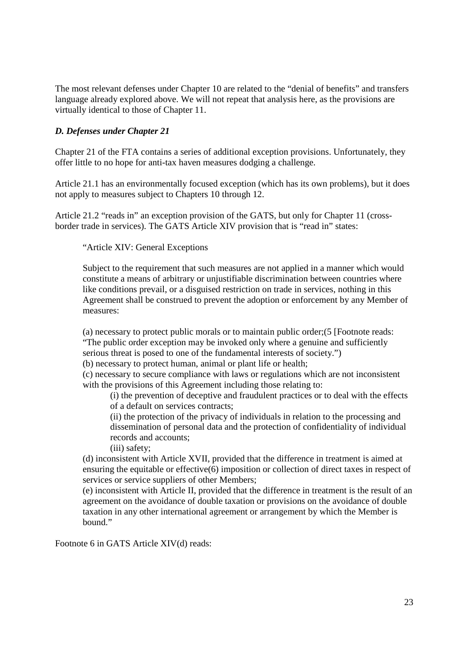The most relevant defenses under Chapter 10 are related to the "denial of benefits" and transfers language already explored above. We will not repeat that analysis here, as the provisions are virtually identical to those of Chapter 11.

## *D. Defenses under Chapter 21*

Chapter 21 of the FTA contains a series of additional exception provisions. Unfortunately, they offer little to no hope for anti-tax haven measures dodging a challenge.

Article 21.1 has an environmentally focused exception (which has its own problems), but it does not apply to measures subject to Chapters 10 through 12.

Article 21.2 "reads in" an exception provision of the GATS, but only for Chapter 11 (crossborder trade in services). The GATS Article XIV provision that is "read in" states:

"Article XIV: General Exceptions

Subject to the requirement that such measures are not applied in a manner which would constitute a means of arbitrary or unjustifiable discrimination between countries where like conditions prevail, or a disguised restriction on trade in services, nothing in this Agreement shall be construed to prevent the adoption or enforcement by any Member of measures:

(a) necessary to protect public morals or to maintain public order;(5 [Footnote reads: "The public order exception may be invoked only where a genuine and sufficiently serious threat is posed to one of the fundamental interests of society.")

(b) necessary to protect human, animal or plant life or health;

(c) necessary to secure compliance with laws or regulations which are not inconsistent with the provisions of this Agreement including those relating to:

(i) the prevention of deceptive and fraudulent practices or to deal with the effects of a default on services contracts;

(ii) the protection of the privacy of individuals in relation to the processing and dissemination of personal data and the protection of confidentiality of individual records and accounts;

(iii) safety;

(d) inconsistent with Article XVII, provided that the difference in treatment is aimed at ensuring the equitable or effective(6) imposition or collection of direct taxes in respect of services or service suppliers of other Members;

(e) inconsistent with Article II, provided that the difference in treatment is the result of an agreement on the avoidance of double taxation or provisions on the avoidance of double taxation in any other international agreement or arrangement by which the Member is bound."

Footnote 6 in GATS Article XIV(d) reads: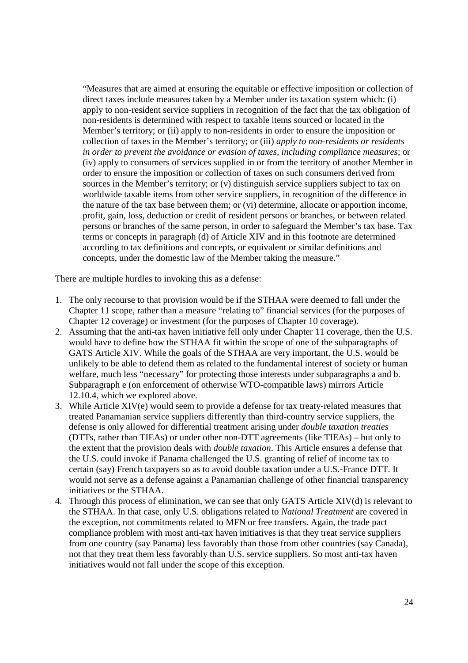"Measures that are aimed at ensuring the equitable or effective imposition or collection of direct taxes include measures taken by a Member under its taxation system which: (i) apply to non-resident service suppliers in recognition of the fact that the tax obligation of non-residents is determined with respect to taxable items sourced or located in the Member's territory; or (ii) apply to non-residents in order to ensure the imposition or collection of taxes in the Member's territory; or (iii) *apply to non-residents or residents in order to prevent the avoidance or evasion of taxes, including compliance measures*; or (iv) apply to consumers of services supplied in or from the territory of another Member in order to ensure the imposition or collection of taxes on such consumers derived from sources in the Member's territory; or (v) distinguish service suppliers subject to tax on worldwide taxable items from other service suppliers, in recognition of the difference in the nature of the tax base between them; or (vi) determine, allocate or apportion income, profit, gain, loss, deduction or credit of resident persons or branches, or between related persons or branches of the same person, in order to safeguard the Member's tax base. Tax terms or concepts in paragraph (d) of Article XIV and in this footnote are determined according to tax definitions and concepts, or equivalent or similar definitions and concepts, under the domestic law of the Member taking the measure."

There are multiple hurdles to invoking this as a defense:

- 1. The only recourse to that provision would be if the STHAA were deemed to fall under the Chapter 11 scope, rather than a measure "relating to" financial services (for the purposes of Chapter 12 coverage) or investment (for the purposes of Chapter 10 coverage).
- 2. Assuming that the anti-tax haven initiative fell only under Chapter 11 coverage, then the U.S. would have to define how the STHAA fit within the scope of one of the subparagraphs of GATS Article XIV. While the goals of the STHAA are very important, the U.S. would be unlikely to be able to defend them as related to the fundamental interest of society or human welfare, much less "necessary" for protecting those interests under subparagraphs a and b. Subparagraph e (on enforcement of otherwise WTO-compatible laws) mirrors Article 12.10.4, which we explored above.
- 3. While Article XIV(e) would seem to provide a defense for tax treaty-related measures that treated Panamanian service suppliers differently than third-country service suppliers, the defense is only allowed for differential treatment arising under *double taxation treaties*  (DTTs, rather than TIEAs) or under other non-DTT agreements (like TIEAs) – but only to the extent that the provision deals with *double taxation*. This Article ensures a defense that the U.S. could invoke if Panama challenged the U.S. granting of relief of income tax to certain (say) French taxpayers so as to avoid double taxation under a U.S.-France DTT. It would not serve as a defense against a Panamanian challenge of other financial transparency initiatives or the STHAA.
- 4. Through this process of elimination, we can see that only GATS Article XIV(d) is relevant to the STHAA. In that case, only U.S. obligations related to *National Treatment* are covered in the exception, not commitments related to MFN or free transfers. Again, the trade pact compliance problem with most anti-tax haven initiatives is that they treat service suppliers from one country (say Panama) less favorably than those from other countries (say Canada), not that they treat them less favorably than U.S. service suppliers. So most anti-tax haven initiatives would not fall under the scope of this exception.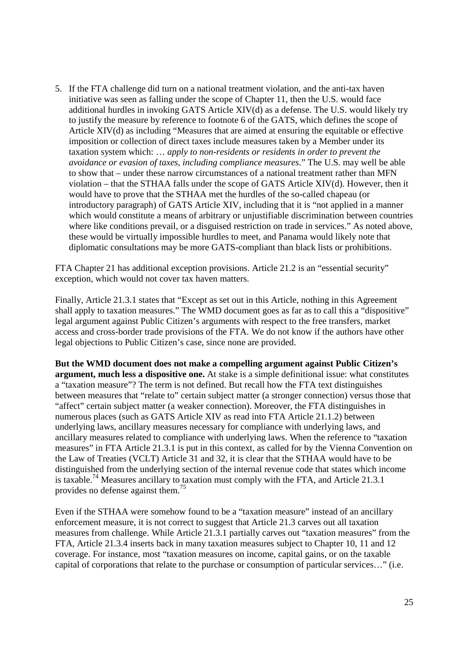5. If the FTA challenge did turn on a national treatment violation, and the anti-tax haven initiative was seen as falling under the scope of Chapter 11, then the U.S. would face additional hurdles in invoking GATS Article XIV(d) as a defense. The U.S. would likely try to justify the measure by reference to footnote 6 of the GATS, which defines the scope of Article XIV(d) as including "Measures that are aimed at ensuring the equitable or effective imposition or collection of direct taxes include measures taken by a Member under its taxation system which: … *apply to non-residents or residents in order to prevent the avoidance or evasion of taxes, including compliance measures*." The U.S. may well be able to show that – under these narrow circumstances of a national treatment rather than MFN violation – that the STHAA falls under the scope of GATS Article  $XIV(d)$ . However, then it would have to prove that the STHAA met the hurdles of the so-called chapeau (or introductory paragraph) of GATS Article XIV, including that it is "not applied in a manner which would constitute a means of arbitrary or unjustifiable discrimination between countries where like conditions prevail, or a disguised restriction on trade in services." As noted above, these would be virtually impossible hurdles to meet, and Panama would likely note that diplomatic consultations may be more GATS-compliant than black lists or prohibitions.

FTA Chapter 21 has additional exception provisions. Article 21.2 is an "essential security" exception, which would not cover tax haven matters.

Finally, Article 21.3.1 states that "Except as set out in this Article, nothing in this Agreement shall apply to taxation measures." The WMD document goes as far as to call this a "dispositive" legal argument against Public Citizen's arguments with respect to the free transfers, market access and cross-border trade provisions of the FTA. We do not know if the authors have other legal objections to Public Citizen's case, since none are provided.

**But the WMD document does not make a compelling argument against Public Citizen's argument, much less a dispositive one.** At stake is a simple definitional issue: what constitutes a "taxation measure"? The term is not defined. But recall how the FTA text distinguishes between measures that "relate to" certain subject matter (a stronger connection) versus those that "affect" certain subject matter (a weaker connection). Moreover, the FTA distinguishes in numerous places (such as GATS Article XIV as read into FTA Article 21.1.2) between underlying laws, ancillary measures necessary for compliance with underlying laws, and ancillary measures related to compliance with underlying laws. When the reference to "taxation measures" in FTA Article 21.3.1 is put in this context, as called for by the Vienna Convention on the Law of Treaties (VCLT) Article 31 and 32, it is clear that the STHAA would have to be distinguished from the underlying section of the internal revenue code that states which income is taxable.<sup>74</sup> Measures ancillary to taxation must comply with the FTA, and Article 21.3.1 provides no defense against them.<sup>75</sup>

Even if the STHAA were somehow found to be a "taxation measure" instead of an ancillary enforcement measure, it is not correct to suggest that Article 21.3 carves out all taxation measures from challenge. While Article 21.3.1 partially carves out "taxation measures" from the FTA, Article 21.3.4 inserts back in many taxation measures subject to Chapter 10, 11 and 12 coverage. For instance, most "taxation measures on income, capital gains, or on the taxable capital of corporations that relate to the purchase or consumption of particular services…" (i.e.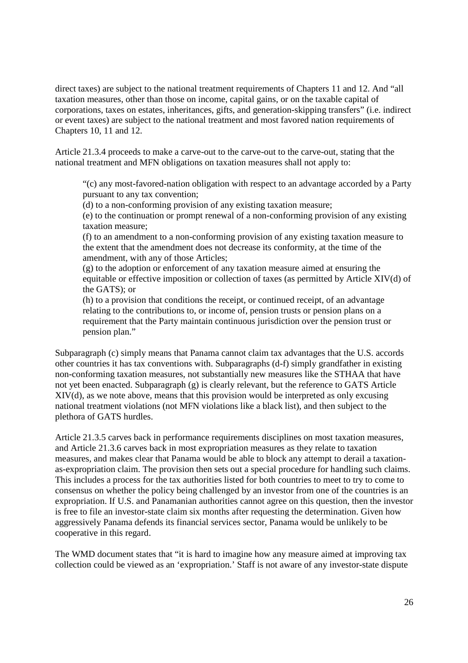direct taxes) are subject to the national treatment requirements of Chapters 11 and 12. And "all taxation measures, other than those on income, capital gains, or on the taxable capital of corporations, taxes on estates, inheritances, gifts, and generation-skipping transfers" (i.e. indirect or event taxes) are subject to the national treatment and most favored nation requirements of Chapters 10, 11 and 12.

Article 21.3.4 proceeds to make a carve-out to the carve-out to the carve-out, stating that the national treatment and MFN obligations on taxation measures shall not apply to:

"(c) any most-favored-nation obligation with respect to an advantage accorded by a Party pursuant to any tax convention;

(d) to a non-conforming provision of any existing taxation measure;

(e) to the continuation or prompt renewal of a non-conforming provision of any existing taxation measure;

(f) to an amendment to a non-conforming provision of any existing taxation measure to the extent that the amendment does not decrease its conformity, at the time of the amendment, with any of those Articles;

(g) to the adoption or enforcement of any taxation measure aimed at ensuring the equitable or effective imposition or collection of taxes (as permitted by Article XIV(d) of the GATS); or

(h) to a provision that conditions the receipt, or continued receipt, of an advantage relating to the contributions to, or income of, pension trusts or pension plans on a requirement that the Party maintain continuous jurisdiction over the pension trust or pension plan."

Subparagraph (c) simply means that Panama cannot claim tax advantages that the U.S. accords other countries it has tax conventions with. Subparagraphs (d-f) simply grandfather in existing non-conforming taxation measures, not substantially new measures like the STHAA that have not yet been enacted. Subparagraph (g) is clearly relevant, but the reference to GATS Article XIV(d), as we note above, means that this provision would be interpreted as only excusing national treatment violations (not MFN violations like a black list), and then subject to the plethora of GATS hurdles.

Article 21.3.5 carves back in performance requirements disciplines on most taxation measures, and Article 21.3.6 carves back in most expropriation measures as they relate to taxation measures, and makes clear that Panama would be able to block any attempt to derail a taxationas-expropriation claim. The provision then sets out a special procedure for handling such claims. This includes a process for the tax authorities listed for both countries to meet to try to come to consensus on whether the policy being challenged by an investor from one of the countries is an expropriation. If U.S. and Panamanian authorities cannot agree on this question, then the investor is free to file an investor-state claim six months after requesting the determination. Given how aggressively Panama defends its financial services sector, Panama would be unlikely to be cooperative in this regard.

The WMD document states that "it is hard to imagine how any measure aimed at improving tax collection could be viewed as an 'expropriation.' Staff is not aware of any investor-state dispute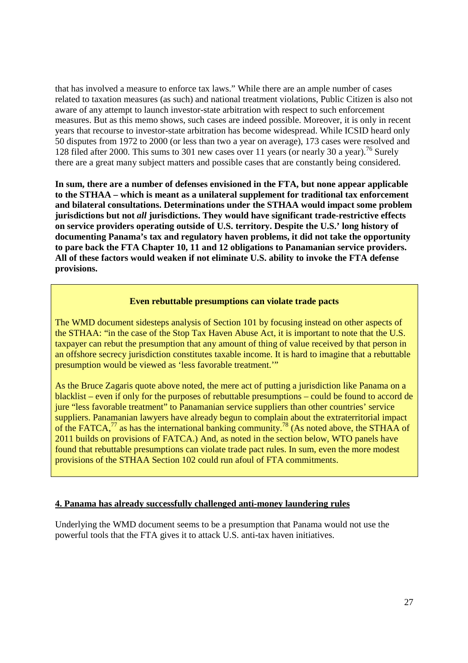that has involved a measure to enforce tax laws." While there are an ample number of cases related to taxation measures (as such) and national treatment violations, Public Citizen is also not aware of any attempt to launch investor-state arbitration with respect to such enforcement measures. But as this memo shows, such cases are indeed possible. Moreover, it is only in recent years that recourse to investor-state arbitration has become widespread. While ICSID heard only 50 disputes from 1972 to 2000 (or less than two a year on average), 173 cases were resolved and 128 filed after 2000. This sums to 301 new cases over 11 years (or nearly 30 a year).<sup>76</sup> Surely there are a great many subject matters and possible cases that are constantly being considered.

**In sum, there are a number of defenses envisioned in the FTA, but none appear applicable to the STHAA – which is meant as a unilateral supplement for traditional tax enforcement and bilateral consultations. Determinations under the STHAA would impact some problem jurisdictions but not** *all* **jurisdictions. They would have significant trade-restrictive effects on service providers operating outside of U.S. territory. Despite the U.S.' long history of documenting Panama's tax and regulatory haven problems, it did not take the opportunity to pare back the FTA Chapter 10, 11 and 12 obligations to Panamanian service providers. All of these factors would weaken if not eliminate U.S. ability to invoke the FTA defense provisions.** 

## **Even rebuttable presumptions can violate trade pacts**

The WMD document sidesteps analysis of Section 101 by focusing instead on other aspects of the STHAA: "in the case of the Stop Tax Haven Abuse Act, it is important to note that the U.S. taxpayer can rebut the presumption that any amount of thing of value received by that person in an offshore secrecy jurisdiction constitutes taxable income. It is hard to imagine that a rebuttable presumption would be viewed as 'less favorable treatment.'"

As the Bruce Zagaris quote above noted, the mere act of putting a jurisdiction like Panama on a blacklist – even if only for the purposes of rebuttable presumptions – could be found to accord de jure "less favorable treatment" to Panamanian service suppliers than other countries' service suppliers. Panamanian lawyers have already begun to complain about the extraterritorial impact of the FATCA,<sup>77</sup> as has the international banking community.<sup>78</sup> (As noted above, the STHAA of 2011 builds on provisions of FATCA.) And, as noted in the section below, WTO panels have found that rebuttable presumptions can violate trade pact rules. In sum, even the more modest provisions of the STHAA Section 102 could run afoul of FTA commitments.

## **4. Panama has already successfully challenged anti-money laundering rules**

Underlying the WMD document seems to be a presumption that Panama would not use the powerful tools that the FTA gives it to attack U.S. anti-tax haven initiatives.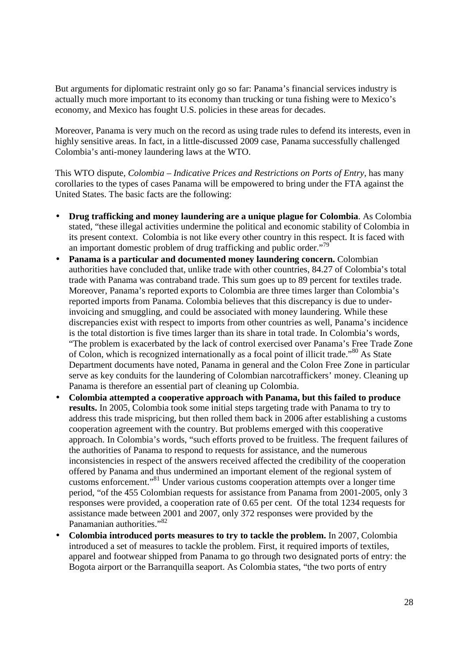But arguments for diplomatic restraint only go so far: Panama's financial services industry is actually much more important to its economy than trucking or tuna fishing were to Mexico's economy, and Mexico has fought U.S. policies in these areas for decades.

Moreover, Panama is very much on the record as using trade rules to defend its interests, even in highly sensitive areas. In fact, in a little-discussed 2009 case, Panama successfully challenged Colombia's anti-money laundering laws at the WTO.

This WTO dispute, *Colombia – Indicative Prices and Restrictions on Ports of Entry,* has many corollaries to the types of cases Panama will be empowered to bring under the FTA against the United States. The basic facts are the following:

- **Drug trafficking and money laundering are a unique plague for Colombia**. As Colombia stated, "these illegal activities undermine the political and economic stability of Colombia in its present context. Colombia is not like every other country in this respect. It is faced with an important domestic problem of drug trafficking and public order."<sup>79</sup>
- **Panama is a particular and documented money laundering concern.** Colombian authorities have concluded that, unlike trade with other countries, 84.27 of Colombia's total trade with Panama was contraband trade. This sum goes up to 89 percent for textiles trade. Moreover, Panama's reported exports to Colombia are three times larger than Colombia's reported imports from Panama. Colombia believes that this discrepancy is due to underinvoicing and smuggling, and could be associated with money laundering. While these discrepancies exist with respect to imports from other countries as well, Panama's incidence is the total distortion is five times larger than its share in total trade. In Colombia's words, "The problem is exacerbated by the lack of control exercised over Panama's Free Trade Zone of Colon, which is recognized internationally as a focal point of illicit trade."<sup>80</sup> As State Department documents have noted, Panama in general and the Colon Free Zone in particular serve as key conduits for the laundering of Colombian narcotraffickers' money. Cleaning up Panama is therefore an essential part of cleaning up Colombia.
- **Colombia attempted a cooperative approach with Panama, but this failed to produce results.** In 2005, Colombia took some initial steps targeting trade with Panama to try to address this trade mispricing, but then rolled them back in 2006 after establishing a customs cooperation agreement with the country. But problems emerged with this cooperative approach. In Colombia's words, "such efforts proved to be fruitless. The frequent failures of the authorities of Panama to respond to requests for assistance, and the numerous inconsistencies in respect of the answers received affected the credibility of the cooperation offered by Panama and thus undermined an important element of the regional system of customs enforcement."<sup>81</sup> Under various customs cooperation attempts over a longer time period, "of the 455 Colombian requests for assistance from Panama from 2001-2005, only 3 responses were provided, a cooperation rate of 0.65 per cent. Of the total 1234 requests for assistance made between 2001 and 2007, only 372 responses were provided by the Panamanian authorities."<sup>82</sup>
- **Colombia introduced ports measures to try to tackle the problem.** In 2007, Colombia introduced a set of measures to tackle the problem. First, it required imports of textiles, apparel and footwear shipped from Panama to go through two designated ports of entry: the Bogota airport or the Barranquilla seaport. As Colombia states, "the two ports of entry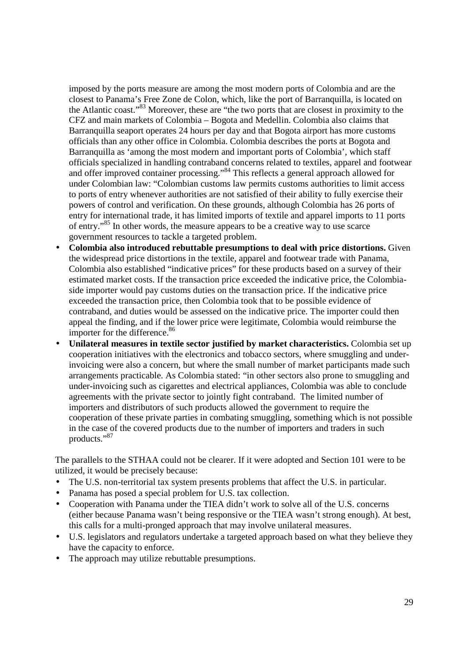imposed by the ports measure are among the most modern ports of Colombia and are the closest to Panama's Free Zone de Colon, which, like the port of Barranquilla, is located on the Atlantic coast."<sup>83</sup> Moreover, these are "the two ports that are closest in proximity to the CFZ and main markets of Colombia – Bogota and Medellin. Colombia also claims that Barranquilla seaport operates 24 hours per day and that Bogota airport has more customs officials than any other office in Colombia. Colombia describes the ports at Bogota and Barranquilla as 'among the most modern and important ports of Colombia', which staff officials specialized in handling contraband concerns related to textiles, apparel and footwear and offer improved container processing."<sup>84</sup> This reflects a general approach allowed for under Colombian law: "Colombian customs law permits customs authorities to limit access to ports of entry whenever authorities are not satisfied of their ability to fully exercise their powers of control and verification. On these grounds, although Colombia has 26 ports of entry for international trade, it has limited imports of textile and apparel imports to 11 ports of entry."<sup>85</sup> In other words, the measure appears to be a creative way to use scarce government resources to tackle a targeted problem.

- **Colombia also introduced rebuttable presumptions to deal with price distortions.** Given the widespread price distortions in the textile, apparel and footwear trade with Panama, Colombia also established "indicative prices" for these products based on a survey of their estimated market costs. If the transaction price exceeded the indicative price, the Colombiaside importer would pay customs duties on the transaction price. If the indicative price exceeded the transaction price, then Colombia took that to be possible evidence of contraband, and duties would be assessed on the indicative price. The importer could then appeal the finding, and if the lower price were legitimate, Colombia would reimburse the importer for the difference.<sup>86</sup>
- **Unilateral measures in textile sector justified by market characteristics.** Colombia set up cooperation initiatives with the electronics and tobacco sectors, where smuggling and underinvoicing were also a concern, but where the small number of market participants made such arrangements practicable. As Colombia stated: "in other sectors also prone to smuggling and under-invoicing such as cigarettes and electrical appliances, Colombia was able to conclude agreements with the private sector to jointly fight contraband. The limited number of importers and distributors of such products allowed the government to require the cooperation of these private parties in combating smuggling, something which is not possible in the case of the covered products due to the number of importers and traders in such products."<sup>87</sup>

The parallels to the STHAA could not be clearer. If it were adopted and Section 101 were to be utilized, it would be precisely because:

- The U.S. non-territorial tax system presents problems that affect the U.S. in particular.
- Panama has posed a special problem for U.S. tax collection.
- Cooperation with Panama under the TIEA didn't work to solve all of the U.S. concerns (either because Panama wasn't being responsive or the TIEA wasn't strong enough). At best, this calls for a multi-pronged approach that may involve unilateral measures.
- U.S. legislators and regulators undertake a targeted approach based on what they believe they have the capacity to enforce.
- The approach may utilize rebuttable presumptions.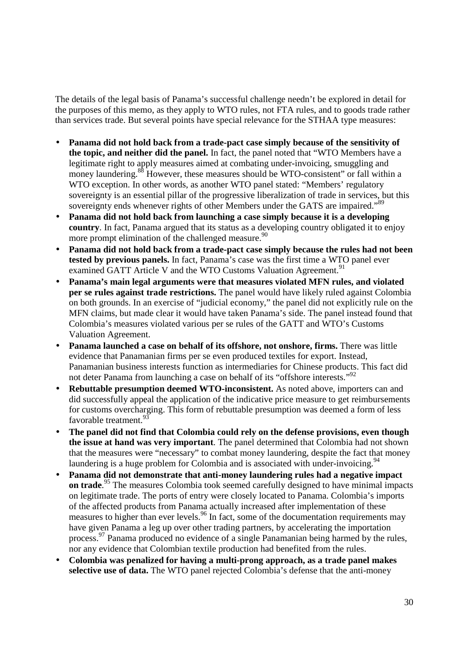The details of the legal basis of Panama's successful challenge needn't be explored in detail for the purposes of this memo, as they apply to WTO rules, not FTA rules, and to goods trade rather than services trade. But several points have special relevance for the STHAA type measures:

- **Panama did not hold back from a trade-pact case simply because of the sensitivity of the topic, and neither did the panel.** In fact, the panel noted that "WTO Members have a legitimate right to apply measures aimed at combating under-invoicing, smuggling and money laundering.<sup>88</sup> However, these measures should be WTO-consistent" or fall within a WTO exception. In other words, as another WTO panel stated: "Members' regulatory sovereignty is an essential pillar of the progressive liberalization of trade in services, but this sovereignty ends whenever rights of other Members under the GATS are impaired."<sup>89</sup>
- **Panama did not hold back from launching a case simply because it is a developing country**. In fact, Panama argued that its status as a developing country obligated it to enjoy more prompt elimination of the challenged measure.<sup>90</sup>
- **Panama did not hold back from a trade-pact case simply because the rules had not been tested by previous panels.** In fact, Panama's case was the first time a WTO panel ever examined GATT Article V and the WTO Customs Valuation Agreement.<sup>91</sup>
- **Panama's main legal arguments were that measures violated MFN rules, and violated per se rules against trade restrictions.** The panel would have likely ruled against Colombia on both grounds. In an exercise of "judicial economy," the panel did not explicitly rule on the MFN claims, but made clear it would have taken Panama's side. The panel instead found that Colombia's measures violated various per se rules of the GATT and WTO's Customs Valuation Agreement.
- **Panama launched a case on behalf of its offshore, not onshore, firms.** There was little evidence that Panamanian firms per se even produced textiles for export. Instead, Panamanian business interests function as intermediaries for Chinese products. This fact did not deter Panama from launching a case on behalf of its "offshore interests."<sup>92</sup>
- **Rebuttable presumption deemed WTO-inconsistent.** As noted above, importers can and did successfully appeal the application of the indicative price measure to get reimbursements for customs overcharging. This form of rebuttable presumption was deemed a form of less favorable treatment.<sup>93</sup>
- **The panel did not find that Colombia could rely on the defense provisions, even though the issue at hand was very important**. The panel determined that Colombia had not shown that the measures were "necessary" to combat money laundering, despite the fact that money laundering is a huge problem for Colombia and is associated with under-invoicing.<sup>94</sup>
- **Panama did not demonstrate that anti-money laundering rules had a negative impact**  on trade.<sup>95</sup> The measures Colombia took seemed carefully designed to have minimal impacts on legitimate trade. The ports of entry were closely located to Panama. Colombia's imports of the affected products from Panama actually increased after implementation of these measures to higher than ever levels.<sup>96</sup> In fact, some of the documentation requirements may have given Panama a leg up over other trading partners, by accelerating the importation process.<sup>97</sup> Panama produced no evidence of a single Panamanian being harmed by the rules, nor any evidence that Colombian textile production had benefited from the rules.
- **Colombia was penalized for having a multi-prong approach, as a trade panel makes selective use of data.** The WTO panel rejected Colombia's defense that the anti-money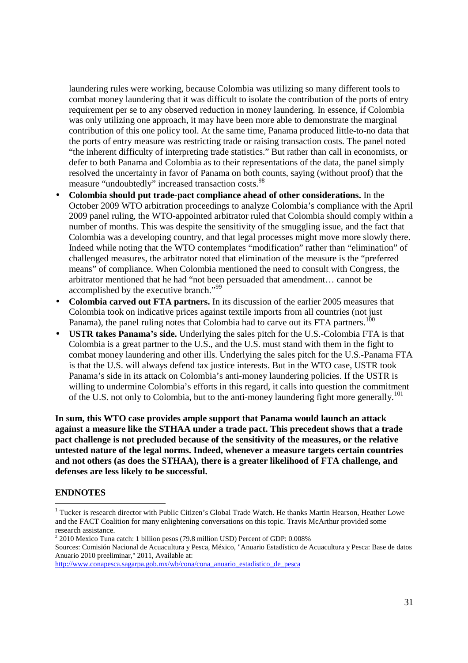laundering rules were working, because Colombia was utilizing so many different tools to combat money laundering that it was difficult to isolate the contribution of the ports of entry requirement per se to any observed reduction in money laundering. In essence, if Colombia was only utilizing one approach, it may have been more able to demonstrate the marginal contribution of this one policy tool. At the same time, Panama produced little-to-no data that the ports of entry measure was restricting trade or raising transaction costs. The panel noted "the inherent difficulty of interpreting trade statistics." But rather than call in economists, or defer to both Panama and Colombia as to their representations of the data, the panel simply resolved the uncertainty in favor of Panama on both counts, saying (without proof) that the measure "undoubtedly" increased transaction costs.<sup>98</sup>

- **Colombia should put trade-pact compliance ahead of other considerations.** In the October 2009 WTO arbitration proceedings to analyze Colombia's compliance with the April 2009 panel ruling, the WTO-appointed arbitrator ruled that Colombia should comply within a number of months. This was despite the sensitivity of the smuggling issue, and the fact that Colombia was a developing country, and that legal processes might move more slowly there. Indeed while noting that the WTO contemplates "modification" rather than "elimination" of challenged measures, the arbitrator noted that elimination of the measure is the "preferred means" of compliance. When Colombia mentioned the need to consult with Congress, the arbitrator mentioned that he had "not been persuaded that amendment… cannot be accomplished by the executive branch."<sup>99</sup>
- **Colombia carved out FTA partners.** In its discussion of the earlier 2005 measures that Colombia took on indicative prices against textile imports from all countries (not just Panama), the panel ruling notes that Colombia had to carve out its FTA partners.<sup>100</sup>
- **USTR takes Panama's side.** Underlying the sales pitch for the U.S.-Colombia FTA is that Colombia is a great partner to the U.S., and the U.S. must stand with them in the fight to combat money laundering and other ills. Underlying the sales pitch for the U.S.-Panama FTA is that the U.S. will always defend tax justice interests. But in the WTO case, USTR took Panama's side in its attack on Colombia's anti-money laundering policies. If the USTR is willing to undermine Colombia's efforts in this regard, it calls into question the commitment of the U.S. not only to Colombia, but to the anti-money laundering fight more generally.<sup>101</sup>

**In sum, this WTO case provides ample support that Panama would launch an attack against a measure like the STHAA under a trade pact. This precedent shows that a trade pact challenge is not precluded because of the sensitivity of the measures, or the relative untested nature of the legal norms. Indeed, whenever a measure targets certain countries and not others (as does the STHAA), there is a greater likelihood of FTA challenge, and defenses are less likely to be successful.** 

## **ENDNOTES**

-

 $2$  2010 Mexico Tuna catch: 1 billion pesos (79.8 million USD) Percent of GDP: 0.008%

Sources: Comisión Nacional de Acuacultura y Pesca, México, "Anuario Estadístico de Acuacultura y Pesca: Base de datos Anuario 2010 preeliminar," 2011, Available at:

http://www.conapesca.sagarpa.gob.mx/wb/cona/cona\_anuario\_estadistico\_de\_pesca

<sup>&</sup>lt;sup>1</sup> Tucker is research director with Public Citizen's Global Trade Watch. He thanks Martin Hearson, Heather Lowe and the FACT Coalition for many enlightening conversations on this topic. Travis McArthur provided some research assistance.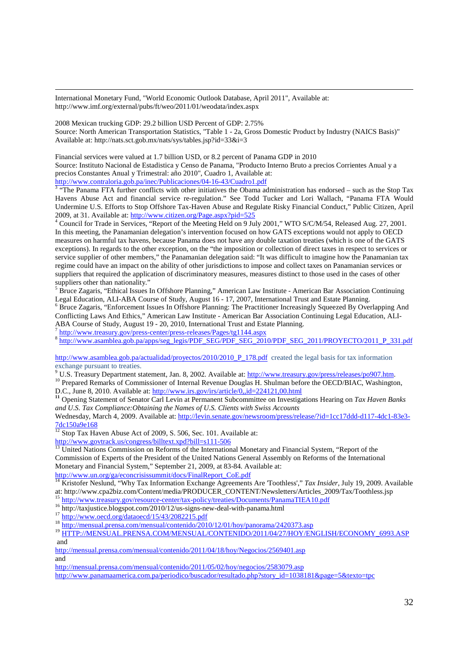International Monetary Fund, "World Economic Outlook Database, April 2011", Available at: http://www.imf.org/external/pubs/ft/weo/2011/01/weodata/index.aspx

2008 Mexican trucking GDP: 29.2 billion USD Percent of GDP: 2.75% Source: North American Transportation Statistics, "Table 1 - 2a, Gross Domestic Product by Industry (NAICS Basis)" Available at: http://nats.sct.gob.mx/nats/sys/tables.jsp?id=33&i=3

Financial services were valued at 1.7 billion USD, or 8.2 percent of Panama GDP in 2010 Source: Instituto Nacional de Estadistica y Censo de Panama, "Producto Interno Bruto a precios Corrientes Anual y a precios Constantes Anual y Trimestral: año 2010", Cuadro 1, Available at:

http://www.contraloria.gob.pa/inec/Publicaciones/04-16-43/Cuadro1.pdf<br><sup>3</sup> "The Panama FTA further conflicts with other initiatives the Obama administration has endorsed – such as the Stop Tax Havens Abuse Act and financial service re-regulation." See Todd Tucker and Lori Wallach, "Panama FTA Would Undermine U.S. Efforts to Stop Offshore Tax-Haven Abuse and Regulate Risky Financial Conduct," Public Citizen, April 2009, at 31. Available at: http://www.citizen.org/Page.aspx?pid=525

<sup>4</sup> Council for Trade in Services, "Report of the Meeting Held on 9 July 2001," WTO S/C/M/54, Released Aug. 27, 2001. In this meeting, the Panamanian delegation's intervention focused on how GATS exceptions would not apply to OECD measures on harmful tax havens, because Panama does not have any double taxation treaties (which is one of the GATS exceptions). In regards to the other exception, on the "the imposition or collection of direct taxes in respect to services or service supplier of other members," the Panamanian delegation said: "It was difficult to imagine how the Panamanian tax regime could have an impact on the ability of other jurisdictions to impose and collect taxes on Panamanian services or suppliers that required the application of discriminatory measures, measures distinct to those used in the cases of other suppliers other than nationality."

<sup>5</sup> Bruce Zagaris, "Ethical Issues In Offshore Planning," American Law Institute - American Bar Association Continuing Legal Education, ALI-ABA Course of Study, August 16 - 17, 2007, International Trust and Estate Planning.

<sup>6</sup> Bruce Zagaris, "Enforcement Issues In Offshore Planning: The Practitioner Increasingly Squeezed By Overlapping And Conflicting Laws And Ethics," American Law Institute - American Bar Association Continuing Legal Education, ALI-ABA Course of Study, August 19 - 20, 2010, International Trust and Estate Planning.

7 http://www.treasury.gov/press-center/press-releases/Pages/tg1144.aspx

<sup>8</sup> http://www.asamblea.gob.pa/apps/seg\_legis/PDF\_SEG/PDF\_SEG\_2010/PDF\_SEG\_2011/PROYECTO/2011\_P\_331.pdf

http://www.asamblea.gob.pa/actualidad/proyectos/2010/2010\_P\_178.pdf created the legal basis for tax information exchange pursuant to treaties.

<sup>9</sup> U.S. Treasury Department statement, Jan. 8, 2002. Available at: http://www.treasury.gov/press/releases/po907.htm.

<sup>10</sup> Prepared Remarks of Commissioner of Internal Revenue Douglas H. Shulman before the OECD/BIAC, Washington, D.C., June 8, 2010. Available at: http://www.irs.gov/irs/article/0,,id=224121,00.html

**<sup>11</sup>** Opening Statement of Senator Carl Levin at Permanent Subcommittee on Investigations Hearing on *Tax Haven Banks and U.S. Tax Compliance:Obtaining the Names of U.S. Clients with Swiss Accounts*

Wednesday, March 4, 2009. Available at: http://levin.senate.gov/newsroom/press/release/?id=1cc17ddd-d117-4dc1-83e3- 7dc150a9e168

 $\frac{12}{12}$  Stop Tax Haven Abuse Act of 2009, S. 506, Sec. 101. Available at:

http://www.govtrack.us/congress/billtext.xpd?bill=s111-506

<sup>13</sup> United Nations Commission on Reforms of the International Monetary and Financial System, "Report of the Commission of Experts of the President of the United Nations General Assembly on Reforms of the International Monetary and Financial System," September 21, 2009, at 83-84. Available at: http://www.un.org/ga/econcrisissummit/docs/FinalReport\_CoE.pdf<br> $\frac{14 \text{ K} \text{ristofor Magnical (WN)}}{14 \text{ K} \text{ristofor Magnical (WN)}$ 

<sup>14</sup> Kristofer Neslund, "Why Tax Information Exchange Agreements Are 'Toothless'," *Tax Insider,* July 19, 2009. Available at: http://www.cpa2biz.com/Content/media/PRODUCER\_CONTENT/Newsletters/Articles\_2009/Tax/Toothless.jsp<br>
<sup>15</sup> http://www.tpazawar.com/Content/media/PRODUCER\_CONTENT/Newsletters/Articles\_2009/Tax/Toothless.jsp

<sup>15</sup> http://www.treasury.gov/resource-center/tax-policy/treaties/Documents/PanamaTIEA10.pdf

<sup>16</sup> http://taxjustice.blogspot.com/2010/12/us-signs-new-deal-with-panama.html

 $17$  http://www.oecd.org/dataoecd/15/43/2082215.pdf

<sup>18</sup> http://mensual.prensa.com/mensual/contenido/2010/12/01/hoy/panorama/2420373.asp

19 HTTP://MENSUAL.PRENSA.COM/MENSUAL/CONTENIDO/2011/04/27/HOY/ENGLISH/ECONOMY\_6993.ASP and

http://mensual.prensa.com/mensual/contenido/2011/04/18/hoy/Negocios/2569401.asp

and

-

http://mensual.prensa.com/mensual/contenido/2011/05/02/hoy/negocios/2583079.asp http://www.panamaamerica.com.pa/periodico/buscador/resultado.php?story\_id=1038181&page=5&texto=tpc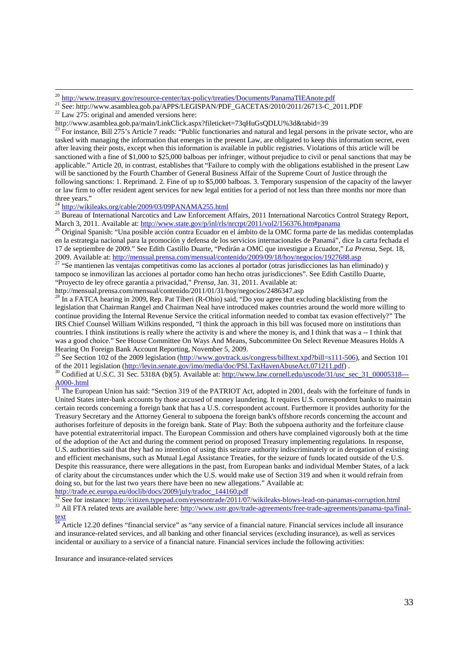$^{21}$  See: http://www.asamblea.gob.pa/APPS/LEGISPAN/PDF\_GACETAS/2010/2011/26713-C\_2011.PDF  $22$  Law 275: original and amended versions here:

http://www.asamblea.gob.pa/main/LinkClick.aspx?fileticket=73qHuGsQDLU%3d&tabid=39

 $^{23}$  For instance, Bill 275's Article 7 reads: "Public functionaries and natural and legal persons in the private sector, who are tasked with managing the information that emerges in the present Law, are obligated to keep this information secret, even after leaving their posts, except when this information is available in public registries. Violations of this article will be sanctioned with a fine of \$1,000 to \$25,000 balboas per infringer, without prejudice to civil or penal sanctions that may be applicable." Article 20, in contrast, establishes that "Failure to comply with the obligations established in the present Law will be sanctioned by the Fourth Chamber of General Business Affair of the Supreme Court of Justice through the following sanctions: 1. Reprimand. 2. Fine of up to \$5,000 balboas. 3. Temporary suspension of the capacity of the lawyer or law firm to offer resident agent services for new legal entities for a period of not less than three months nor more than three years."

<sup>24</sup> http://wikileaks.org/cable/2009/03/09PANAMA255.html

-

<sup>25</sup> Bureau of International Narcotics and Law Enforcement Affairs, 2011 International Narcotics Control Strategy Report, March 3, 2011. Available at: http://www.state.gov/p/inl/rls/nrcrpt/2011/vol2/156376.htm#panama

<sup>26</sup> Original Spanish: "Una posible acción contra Ecuador en el ámbito de la OMC forma parte de las medidas contempladas en la estrategia nacional para la promoción y defensa de los servicios internacionales de Panamá", dice la carta fechada el 17 de septiembre de 2009." See Edith Castillo Duarte, "Pedirán a OMC que investigue a Ecuador," *La Prensa,* Sept. 18, 2009. Available at: http://mensual.prensa.com/mensual/contenido/2009/09/18/hoy/negocios/1927688.asp

<sup>27</sup> "Se mantienen las ventajas competitivas como las acciones al portador (otras jurisdicciones las han eliminado) y tampoco se inmovilizan las acciones al portador como han hecho otras jurisdicciones". See Edith Castillo Duarte, "Proyecto de ley ofrece garantía a privacidad," *Prensa,* Jan. 31, 2011. Available at:

http://mensual.prensa.com/mensual/contenido/2011/01/31/hoy/negocios/2486347.asp

 $^{28}$  In a FATCA hearing in 2009, Rep. Pat Tiberi (R-Ohio) said, "Do you agree that excluding blacklisting from the legislation that Chairman Rangel and Chairman Neal have introduced makes countries around the world more willing to continue providing the Internal Revenue Service the critical information needed to combat tax evasion effectively?" The IRS Chief Counsel William Wilkins responded, "I think the approach in this bill was focused more on institutions than countries. I think institutions is really where the activity is and where the money is, and I think that was a -- I think that was a good choice." See House Committee On Ways And Means, Subcommittee On Select Revenue Measures Holds A Hearing On Foreign Bank Account Reporting, November 5, 2009.

<sup>29</sup> See Section 102 of the 2009 legislation (http://www.govtrack.us/congress/billtext.xpd?bill=s111-506), and Section 101 of the 2011 legislation (http://levin.senate.gov/imo/media/doc/PSI.TaxHavenAbuseAct.071211.pdf) .

 $30$  Codified at U.S.C. 31 Sec. 5318A (b)(5). Available at: http://www.law.cornell.edu/uscode/31/usc\_sec\_31\_00005318---A000-.html

<sup>31</sup> The European Union has said: "Section 319 of the PATRIOT Act, adopted in 2001, deals with the forfeiture of funds in United States inter-bank accounts by those accused of money laundering. It requires U.S. correspondent banks to maintain certain records concerning a foreign bank that has a U.S. correspondent account. Furthermore it provides authority for the Treasury Secretary and the Attorney General to subpoena the foreign bank's offshore records concerning the account and authorises forfeiture of deposits in the foreign bank. State of Play: Both the subpoena authority and the forfeiture clause have potential extraterritorial impact. The European Commission and others have complained vigorously both at the time of the adoption of the Act and during the comment period on proposed Treasury implementing regulations. In response, U.S. authorities said that they had no intention of using this seizure authority indiscriminately or in derogation of existing and efficient mechanisms, such as Mutual Legal Assistance Treaties, for the seizure of funds located outside of the U.S. Despite this reassurance, there were allegations in the past, from European banks and individual Member States, of a lack of clarity about the circumstances under which the U.S. would make use of Section 319 and when it would refrain from doing so, but for the last two years there have been no new allegations." Available at: http://trade.ec.europa.eu/doclib/docs/2009/july/tradoc\_144160.pdf

See for instance: http://citizen.typepad.com/eyesontrade/2011/07/wikileaks-blows-lead-on-panamas-corruption.html

<sup>33</sup> All FTA related texts are available here: http://www.ustr.gov/trade-agreements/free-trade-agreements/panama-tpa/finaltext

 $34$  Article 12.20 defines "financial service" as "any service of a financial nature. Financial services include all insurance and insurance-related services, and all banking and other financial services (excluding insurance), as well as services incidental or auxiliary to a service of a financial nature. Financial services include the following activities:

Insurance and insurance-related services

<sup>&</sup>lt;sup>20</sup> http://www.treasury.gov/resource-center/tax-policy/treaties/Documents/PanamaTIEAnote.pdf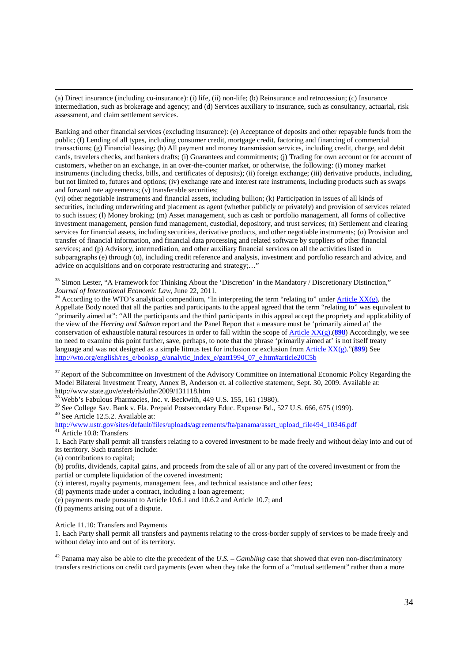(a) Direct insurance (including co-insurance): (i) life, (ii) non-life; (b) Reinsurance and retrocession; (c) Insurance intermediation, such as brokerage and agency; and (d) Services auxiliary to insurance, such as consultancy, actuarial, risk assessment, and claim settlement services.

Banking and other financial services (excluding insurance): (e) Acceptance of deposits and other repayable funds from the public; (f) Lending of all types, including consumer credit, mortgage credit, factoring and financing of commercial transactions; (g) Financial leasing; (h) All payment and money transmission services, including credit, charge, and debit cards, travelers checks, and bankers drafts; (i) Guarantees and commitments; (j) Trading for own account or for account of customers, whether on an exchange, in an over-the-counter market, or otherwise, the following: (i) money market instruments (including checks, bills, and certificates of deposits); (ii) foreign exchange; (iii) derivative products, including, but not limited to, futures and options; (iv) exchange rate and interest rate instruments, including products such as swaps and forward rate agreements;  $(v)$  transferable securities;

(vi) other negotiable instruments and financial assets, including bullion; (k) Participation in issues of all kinds of securities, including underwriting and placement as agent (whether publicly or privately) and provision of services related to such issues; (l) Money broking; (m) Asset management, such as cash or portfolio management, all forms of collective investment management, pension fund management, custodial, depository, and trust services; (n) Settlement and clearing services for financial assets, including securities, derivative products, and other negotiable instruments; (o) Provision and transfer of financial information, and financial data processing and related software by suppliers of other financial services; and (p) Advisory, intermediation, and other auxiliary financial services on all the activities listed in subparagraphs (e) through (o), including credit reference and analysis, investment and portfolio research and advice, and advice on acquisitions and on corporate restructuring and strategy;…"

<sup>35</sup> Simon Lester, "A Framework for Thinking About the 'Discretion' in the Mandatory / Discretionary Distinction," *Journal of International Economic Law,* June 22, 2011.

<sup>36</sup> According to the WTO's analytical compendium, "In interpreting the term "relating to" under  $\frac{\text{Article XX(g)}}{\text{Atile}}$ , the Appellate Body noted that all the parties and participants to the appeal agreed that the term "relating to" was equivalent to "primarily aimed at": "All the participants and the third participants in this appeal accept the propriety and applicability of the view of the *Herring and Salmon* report and the Panel Report that a measure must be 'primarily aimed at' the conservation of exhaustible natural resources in order to fall within the scope of Article XX(g).(**898**) Accordingly, we see no need to examine this point further, save, perhaps, to note that the phrase 'primarily aimed at' is not itself treaty language and was not designed as a simple litmus test for inclusion or exclusion from Article XX(g)."(**899**) See http://wto.org/english/res\_e/booksp\_e/analytic\_index\_e/gatt1994\_07\_e.htm#article20C5b

<sup>37</sup> Report of the Subcommittee on Investment of the Advisory Committee on International Economic Policy Regarding the Model Bilateral Investment Treaty, Annex B, Anderson et. al collective statement, Sept. 30, 2009. Available at: http://www.state.gov/e/eeb/rls/othr/2009/131118.htm

<sup>38</sup> Webb's Fabulous Pharmacies, Inc. v. Beckwith, 449 U.S. 155, 161 (1980).

<sup>39</sup> See College Sav. Bank v. Fla. Prepaid Postsecondary Educ. Expense Bd., 527 U.S. 666, 675 (1999). <sup>40</sup> See Article 12.5.2. Available at:

http://www.ustr.gov/sites/default/files/uploads/agreements/fta/panama/asset\_upload\_file494\_10346.pdf

<sup>41</sup> Article 10.8: Transfers

-

1. Each Party shall permit all transfers relating to a covered investment to be made freely and without delay into and out of its territory. Such transfers include:

(a) contributions to capital;

(b) profits, dividends, capital gains, and proceeds from the sale of all or any part of the covered investment or from the partial or complete liquidation of the covered investment;

(c) interest, royalty payments, management fees, and technical assistance and other fees;

(d) payments made under a contract, including a loan agreement;

(e) payments made pursuant to Article 10.6.1 and 10.6.2 and Article 10.7; and

(f) payments arising out of a dispute.

Article 11.10: Transfers and Payments

1. Each Party shall permit all transfers and payments relating to the cross-border supply of services to be made freely and without delay into and out of its territory.

<sup>42</sup> Panama may also be able to cite the precedent of the *U.S. – Gambling* case that showed that even non-discriminatory transfers restrictions on credit card payments (even when they take the form of a "mutual settlement" rather than a more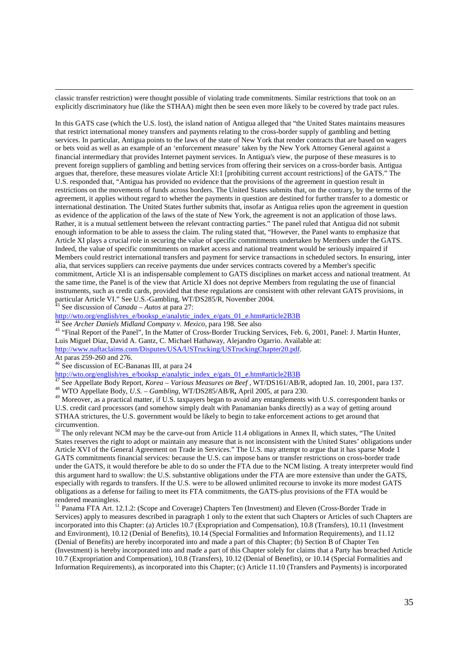classic transfer restriction) were thought possible of violating trade commitments. Similar restrictions that took on an explicitly discriminatory hue (like the STHAA) might then be seen even more likely to be covered by trade pact rules.

In this GATS case (which the U.S. lost), the island nation of Antigua alleged that "the United States maintains measures that restrict international money transfers and payments relating to the cross-border supply of gambling and betting services. In particular, Antigua points to the laws of the state of New York that render contracts that are based on wagers or bets void as well as an example of an 'enforcement measure' taken by the New York Attorney General against a financial intermediary that provides Internet payment services. In Antigua's view, the purpose of these measures is to prevent foreign suppliers of gambling and betting services from offering their services on a cross-border basis. Antigua argues that, therefore, these measures violate Article XI:1 [prohibiting current account restrictions] of the GATS." The U.S. responded that, "Antigua has provided no evidence that the provisions of the agreement in question result in restrictions on the movements of funds across borders. The United States submits that, on the contrary, by the terms of the agreement, it applies without regard to whether the payments in question are destined for further transfer to a domestic or international destination. The United States further submits that, insofar as Antigua relies upon the agreement in question as evidence of the application of the laws of the state of New York, the agreement is not an application of those laws. Rather, it is a mutual settlement between the relevant contracting parties." The panel ruled that Antigua did not submit enough information to be able to assess the claim. The ruling stated that, "However, the Panel wants to emphasize that Article XI plays a crucial role in securing the value of specific commitments undertaken by Members under the GATS. Indeed, the value of specific commitments on market access and national treatment would be seriously impaired if Members could restrict international transfers and payment for service transactions in scheduled sectors. In ensuring, inter alia, that services suppliers can receive payments due under services contracts covered by a Member's specific commitment, Article XI is an indispensable complement to GATS disciplines on market access and national treatment. At the same time, the Panel is of the view that Article XI does not deprive Members from regulating the use of financial instruments, such as credit cards, provided that these regulations are consistent with other relevant GATS provisions, in particular Article VI." See U.S.-Gambling, WT/DS285/R, November 2004.

<sup>43</sup> See discussion of *Canada – Autos* at para 27:

http://wto.org/english/res\_e/booksp\_e/analytic\_index\_e/gats\_01\_e.htm#article2B3B

<sup>44</sup> See *Archer Daniels Midland Company v. Mexico,* para 198. See also

45 "Final Report of the Panel", In the Matter of Cross-Border Trucking Services, Feb. 6, 2001, Panel: J. Martin Hunter, Luis Miguel Diaz, David A. Gantz, C. Michael Hathaway, Alejandro Ogarrio. Available at: http://www.naftaclaims.com/Disputes/USA/USTrucking/USTruckingChapter20.pdf.

At paras 259-260 and 276.

-

<sup>46</sup> See discussion of EC-Bananas III, at para 24

http://wto.org/english/res\_e/booksp\_e/analytic\_index\_e/gats\_01\_e.htm#article2B3B

<sup>47</sup> See Appellate Body Report, *Korea – Various Measures on Beef* , WT/DS161/AB/R, adopted Jan. 10, 2001, para 137. <sup>48</sup> WTO Appellate Body, *U.S. – Gambling,* WT/DS285/AB/R**,** April 2005, at para 230.

<sup>49</sup> Moreover, as a practical matter, if U.S. taxpayers began to avoid any entanglements with U.S. correspondent banks or U.S. credit card processors (and somehow simply dealt with Panamanian banks directly) as a way of getting around STHAA strictures, the U.S. government would be likely to begin to take enforcement actions to get around that circumvention.

<sup>50</sup> The only relevant NCM may be the carve-out from Article 11.4 obligations in Annex II, which states, "The United States reserves the right to adopt or maintain any measure that is not inconsistent with the United States' obligations under Article XVI of the General Agreement on Trade in Services." The U.S. may attempt to argue that it has sparse Mode 1 GATS commitments financial services: because the U.S. can impose bans or transfer restrictions on cross-border trade under the GATS, it would therefore be able to do so under the FTA due to the NCM listing. A treaty interpreter would find this argument hard to swallow: the U.S. substantive obligations under the FTA are more extensive than under the GATS, especially with regards to transfers. If the U.S. were to be allowed unlimited recourse to invoke its more modest GATS obligations as a defense for failing to meet its FTA commitments, the GATS-plus provisions of the FTA would be rendered meaningless.

<sup>51</sup> Panama FTA Art. 12.1.2: (Scope and Coverage) Chapters Ten (Investment) and Eleven (Cross-Border Trade in Services) apply to measures described in paragraph 1 only to the extent that such Chapters or Articles of such Chapters are incorporated into this Chapter: (a) Articles 10.7 (Expropriation and Compensation), 10.8 (Transfers), 10.11 (Investment and Environment), 10.12 (Denial of Benefits), 10.14 (Special Formalities and Information Requirements), and 11.12 (Denial of Benefits) are hereby incorporated into and made a part of this Chapter; (b) Section B of Chapter Ten (Investment) is hereby incorporated into and made a part of this Chapter solely for claims that a Party has breached Article 10.7 (Expropriation and Compensation), 10.8 (Transfers), 10.12 (Denial of Benefits), or 10.14 (Special Formalities and Information Requirements), as incorporated into this Chapter; (c) Article 11.10 (Transfers and Payments) is incorporated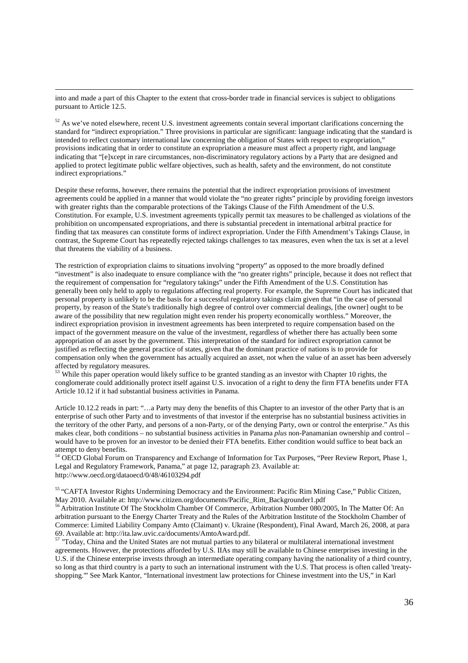into and made a part of this Chapter to the extent that cross-border trade in financial services is subject to obligations pursuant to Article 12.5.

-

<sup>52</sup> As we've noted elsewhere, recent U.S. investment agreements contain several important clarifications concerning the standard for "indirect expropriation." Three provisions in particular are significant: language indicating that the standard is intended to reflect customary international law concerning the obligation of States with respect to expropriation," provisions indicating that in order to constitute an expropriation a measure must affect a property right, and language indicating that "[e]xcept in rare circumstances, non-discriminatory regulatory actions by a Party that are designed and applied to protect legitimate public welfare objectives, such as health, safety and the environment, do not constitute indirect expropriations."

Despite these reforms, however, there remains the potential that the indirect expropriation provisions of investment agreements could be applied in a manner that would violate the "no greater rights" principle by providing foreign investors with greater rights than the comparable protections of the Takings Clause of the Fifth Amendment of the U.S. Constitution. For example, U.S. investment agreements typically permit tax measures to be challenged as violations of the prohibition on uncompensated expropriations, and there is substantial precedent in international arbitral practice for finding that tax measures can constitute forms of indirect expropriation. Under the Fifth Amendment's Takings Clause, in contrast, the Supreme Court has repeatedly rejected takings challenges to tax measures, even when the tax is set at a level that threatens the viability of a business.

The restriction of expropriation claims to situations involving "property" as opposed to the more broadly defined "investment" is also inadequate to ensure compliance with the "no greater rights" principle, because it does not reflect that the requirement of compensation for "regulatory takings" under the Fifth Amendment of the U.S. Constitution has generally been only held to apply to regulations affecting real property. For example, the Supreme Court has indicated that personal property is unlikely to be the basis for a successful regulatory takings claim given that "in the case of personal property, by reason of the State's traditionally high degree of control over commercial dealings, [the owner] ought to be aware of the possibility that new regulation might even render his property economically worthless." Moreover, the indirect expropriation provision in investment agreements has been interpreted to require compensation based on the impact of the government measure on the value of the investment, regardless of whether there has actually been some appropriation of an asset by the government. This interpretation of the standard for indirect expropriation cannot be justified as reflecting the general practice of states, given that the dominant practice of nations is to provide for compensation only when the government has actually acquired an asset, not when the value of an asset has been adversely affected by regulatory measures.

<sup>53</sup> While this paper operation would likely suffice to be granted standing as an investor with Chapter 10 rights, the conglomerate could additionally protect itself against U.S. invocation of a right to deny the firm FTA benefits under FTA Article 10.12 if it had substantial business activities in Panama.

Article 10.12.2 reads in part: "…a Party may deny the benefits of this Chapter to an investor of the other Party that is an enterprise of such other Party and to investments of that investor if the enterprise has no substantial business activities in the territory of the other Party, and persons of a non-Party, or of the denying Party, own or control the enterprise." As this makes clear, both conditions – no substantial business activities in Panama *plus* non-Panamanian ownership and control – would have to be proven for an investor to be denied their FTA benefits. Either condition would suffice to beat back an attempt to deny benefits.

<sup>54</sup> OECD Global Forum on Transparency and Exchange of Information for Tax Purposes, "Peer Review Report, Phase 1, Legal and Regulatory Framework, Panama," at page 12, paragraph 23. Available at: http://www.oecd.org/dataoecd/0/48/46103294.pdf

<sup>55</sup>"CAFTA Investor Rights Undermining Democracy and the Environment: Pacific Rim Mining Case," Public Citizen, May 2010. Available at: http://www.citizen.org/documents/Pacific\_Rim\_Backgrounder1.pdf

<sup>56</sup> Arbitration Institute Of The Stockholm Chamber Of Commerce, Arbitration Number 080/2005, In The Matter Of: An arbitration pursuant to the Energy Charter Treaty and the Rules of the Arbitration Institute of the Stockholm Chamber of Commerce: Limited Liability Company Amto (Claimant) v. Ukraine (Respondent), Final Award, March 26, 2008, at para 69. Available at: http://ita.law.uvic.ca/documents/AmtoAward.pdf.

<sup>57</sup> "Today, China and the United States are not mutual parties to any bilateral or multilateral international investment agreements. However, the protections afforded by U.S. IIAs may still be available to Chinese enterprises investing in the U.S. if the Chinese enterprise invests through an intermediate operating company having the nationality of a third country, so long as that third country is a party to such an international instrument with the U.S. That process is often called 'treatyshopping.'" See Mark Kantor, "International investment law protections for Chinese investment into the US," in Karl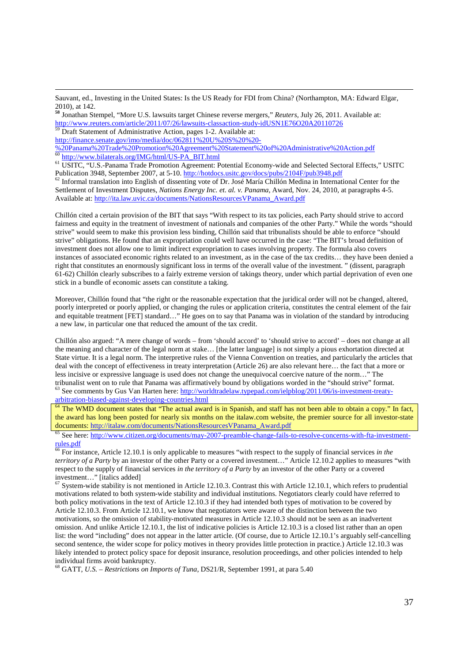Sauvant, ed., Investing in the United States: Is the US Ready for FDI from China? (Northampton, MA: Edward Elgar, 2010), at 142.

**<sup>58</sup>** Jonathan Stempel, "More U.S. lawsuits target Chinese reverse mergers," *Reuters,* July 26, 2011. Available at: http://www.reuters.com/article/2011/07/26/lawsuits-classaction-study-idUSN1E76O20A20110726

Draft Statement of Administrative Action, pages 1-2. Available at:

http://finance.senate.gov/imo/media/doc/062811%20U%20S%20%20-

%20Panama%20Trade%20Promotion%20Agreement%20Statement%20of%20Administrative%20Action.pdf

<sup>60</sup> http://www.bilaterals.org/IMG/html/US-PA\_BIT.html

-

<sup>61</sup> USITC, "U.S.-Panama Trade Promotion Agreement: Potential Economy-wide and Selected Sectoral Effects," USITC Publication 3948, September 2007, at 5-10. http://hotdocs.usitc.gov/docs/pubs/2104F/pub3948.pdf 62 Informal translation into English 16.1.

Informal translation into English of dissenting vote of Dr. José María Chillón Medina in International Center for the Settlement of Investment Disputes, *Nations Energy Inc. et. al. v. Panama,* Award, Nov. 24, 2010, at paragraphs 4-5. Available at: http://ita.law.uvic.ca/documents/NationsResourcesVPanama\_Award.pdf

Chillón cited a certain provision of the BIT that says "With respect to its tax policies, each Party should strive to accord fairness and equity in the treatment of investment of nationals and companies of the other Party." While the words "should strive" would seem to make this provision less binding, Chillón said that tribunalists should be able to enforce "should strive" obligations. He found that an expropriation could well have occurred in the case: "The BIT's broad definition of investment does not allow one to limit indirect expropriation to cases involving property. The formula also covers instances of associated economic rights related to an investment, as in the case of the tax credits… they have been denied a right that constitutes an enormously significant loss in terms of the overall value of the investment. " (dissent, paragraph 61-62) Chillón clearly subscribes to a fairly extreme version of takings theory, under which partial deprivation of even one stick in a bundle of economic assets can constitute a taking.

Moreover, Chillón found that "the right or the reasonable expectation that the juridical order will not be changed, altered, poorly interpreted or poorly applied, or changing the rules or application criteria, constitutes the central element of the fair and equitable treatment [FET] standard…" He goes on to say that Panama was in violation of the standard by introducing a new law, in particular one that reduced the amount of the tax credit.

Chillón also argued: "A mere change of words – from 'should accord' to 'should strive to accord' – does not change at all the meaning and character of the legal norm at stake... [the latter language] is not simply a pious exhortation directed at State virtue. It is a legal norm. The interpretive rules of the Vienna Convention on treaties, and particularly the articles that deal with the concept of effectiveness in treaty interpretation (Article 26) are also relevant here… the fact that a more or less incisive or expressive language is used does not change the unequivocal coercive nature of the norm…" The tribunalist went on to rule that Panama was affirmatively bound by obligations worded in the "should strive" format.

<sup>63</sup> See comments by Gus Van Harten here: http://worldtradelaw.typepad.com/ielpblog/2011/06/is-investment-treatyarbitration-biased-against-developing-countries.html

 $<sup>64</sup>$  The WMD document states that "The actual award is in Spanish, and staff has not been able to obtain a copy." In fact,</sup> the award has long been posted for nearly six months on the italaw.com website, the premier source for all investor-state documents: http://italaw.com/documents/NationsResourcesVPanama\_Award.pdf

<sup>65</sup> See here: http://www.citizen.org/documents/may-2007-preamble-change-fails-to-resolve-concerns-with-fta-investmentrules.pdf

<sup>66</sup> For instance, Article 12.10.1 is only applicable to measures "with respect to the supply of financial services *in the territory of a Party* by an investor of the other Party or a covered investment…" Article 12.10.2 applies to measures "with respect to the supply of financial services *in the territory of a Party* by an investor of the other Party or a covered investment…" [italics added]

 $67$  System-wide stability is not mentioned in Article 12.10.3. Contrast this with Article 12.10.1, which refers to prudential motivations related to both system-wide stability and individual institutions. Negotiators clearly could have referred to both policy motivations in the text of Article 12.10.3 if they had intended both types of motivation to be covered by Article 12.10.3. From Article 12.10.1, we know that negotiators were aware of the distinction between the two motivations, so the omission of stability-motivated measures in Article 12.10.3 should not be seen as an inadvertent omission. And unlike Article 12.10.1, the list of indicative policies is Article 12.10.3 is a closed list rather than an open list: the word "including" does not appear in the latter article. (Of course, due to Article 12.10.1's arguably self-cancelling second sentence, the wider scope for policy motives in theory provides little protection in practice.) Article 12.10.3 was likely intended to protect policy space for deposit insurance, resolution proceedings, and other policies intended to help individual firms avoid bankruptcy.

<sup>68</sup> GATT, *U.S. – Restrictions on Imports of Tuna,* DS21/R, September 1991, at para 5.40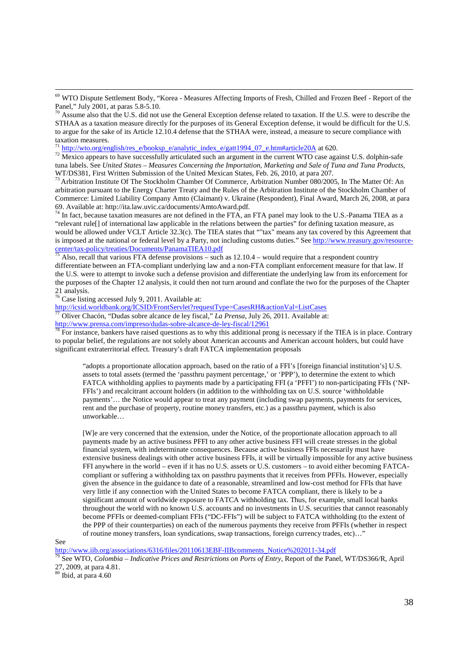http://wto.org/english/res\_e/booksp\_e/analytic\_index\_e/gatt1994\_07\_e.htm#article20A at 620.

<sup>72</sup> Mexico appears to have successfully articulated such an argument in the current WTO case against U.S. dolphin-safe tuna labels. See *United States – Measures Concerning the Importation, Marketing and Sale of Tuna and Tuna Products,*  WT/DS381, First Written Submission of the United Mexican States, Feb. 26, 2010, at para 207.

<sup>73</sup> Arbitration Institute Of The Stockholm Chamber Of Commerce, Arbitration Number 080/2005, In The Matter Of: An arbitration pursuant to the Energy Charter Treaty and the Rules of the Arbitration Institute of the Stockholm Chamber of Commerce: Limited Liability Company Amto (Claimant) v. Ukraine (Respondent), Final Award, March 26, 2008, at para 69. Available at: http://ita.law.uvic.ca/documents/AmtoAward.pdf.

 $74$  In fact, because taxation measures are not defined in the FTA, an FTA panel may look to the U.S.-Panama TIEA as a "relevant rule[] of international law applicable in the relations between the parties" for defining taxation measure, as would be allowed under VCLT Article 32.3(c). The TIEA states that ""tax" means any tax covered by this Agreement that is imposed at the national or federal level by a Party, not including customs duties." See http://www.treasury.gov/resourcecenter/tax-policy/treaties/Documents/PanamaTIEA10.pdf

Also, recall that various FTA defense provisions – such as  $12.10.4$  – would require that a respondent country differentiate between an FTA-compliant underlying law and a non-FTA compliant enforcement measure for that law. If the U.S. were to attempt to invoke such a defense provision and differentiate the underlying law from its enforcement for the purposes of the Chapter 12 analysis, it could then not turn around and conflate the two for the purposes of the Chapter 21 analysis.

<sup>76</sup> Case listing accessed July 9, 2011. Available at:

http://icsid.worldbank.org/ICSID/FrontServlet?requestType=CasesRH&actionVal=ListCases <sup>77</sup> Oliver Chacón, "Dudas sobre alcance de ley fiscal," *La Prensa,* July 26, 2011. Available at: http://www.prensa.com/impreso/dudas-sobre-alcance-de-ley-fiscal/12961

<sup>78</sup> For instance, bankers have raised questions as to why this additional prong is necessary if the TIEA is in place. Contrary to popular belief, the regulations are not solely about American accounts and American account holders, but could have significant extraterritorial effect. Treasury's draft FATCA implementation proposals

"adopts a proportionate allocation approach, based on the ratio of a FFI's [foreign financial institution's] U.S. assets to total assets (termed the 'passthru payment percentage,' or 'PPP'), to determine the extent to which FATCA withholding applies to payments made by a participating FFI (a 'PFFI') to non-participating FFIs ('NP-FFIs') and recalcitrant account holders (in addition to the withholding tax on U.S. source 'withholdable payments'… the Notice would appear to treat any payment (including swap payments, payments for services, rent and the purchase of property, routine money transfers, etc.) as a passthru payment, which is also unworkable…

[W]e are very concerned that the extension, under the Notice, of the proportionate allocation approach to all payments made by an active business PFFI to any other active business FFI will create stresses in the global financial system, with indeterminate consequences. Because active business FFIs necessarily must have extensive business dealings with other active business FFIs, it will be virtually impossible for any active business FFI anywhere in the world – even if it has no U.S. assets or U.S. customers – to avoid either becoming FATCAcompliant or suffering a withholding tax on passthru payments that it receives from PFFIs. However, especially given the absence in the guidance to date of a reasonable, streamlined and low-cost method for FFIs that have very little if any connection with the United States to become FATCA compliant, there is likely to be a significant amount of worldwide exposure to FATCA withholding tax. Thus, for example, small local banks throughout the world with no known U.S. accounts and no investments in U.S. securities that cannot reasonably become PFFIs or deemed-compliant FFIs ("DC-FFIs") will be subject to FATCA withholding (to the extent of the PPP of their counterparties) on each of the numerous payments they receive from PFFIs (whether in respect of routine money transfers, loan syndications, swap transactions, foreign currency trades, etc)…"

-

http://www.iib.org/associations/6316/files/20110613EBF-IIBcomments\_Notice%202011-34.pdf

<sup>79</sup> See WTO, *Colombia – Indicative Prices and Restrictions on Ports of Entry,* Report of the Panel, WT/DS366/R, April 27, 2009, at para 4.81.

 $\frac{20}{80}$  Ibid, at para 4.60

<sup>&</sup>lt;sup>69</sup> WTO Dispute Settlement Body, "Korea - Measures Affecting Imports of Fresh, Chilled and Frozen Beef - Report of the Panel," July 2001, at paras 5.8-5.10.

Assume also that the U.S. did not use the General Exception defense related to taxation. If the U.S. were to describe the STHAA as a taxation measure directly for the purposes of its General Exception defense, it would be difficult for the U.S. to argue for the sake of its Article 12.10.4 defense that the STHAA were, instead, a measure to secure compliance with  $\frac{644 \text{ m/s}}{71 \text{ km/s}}$  measures.

See